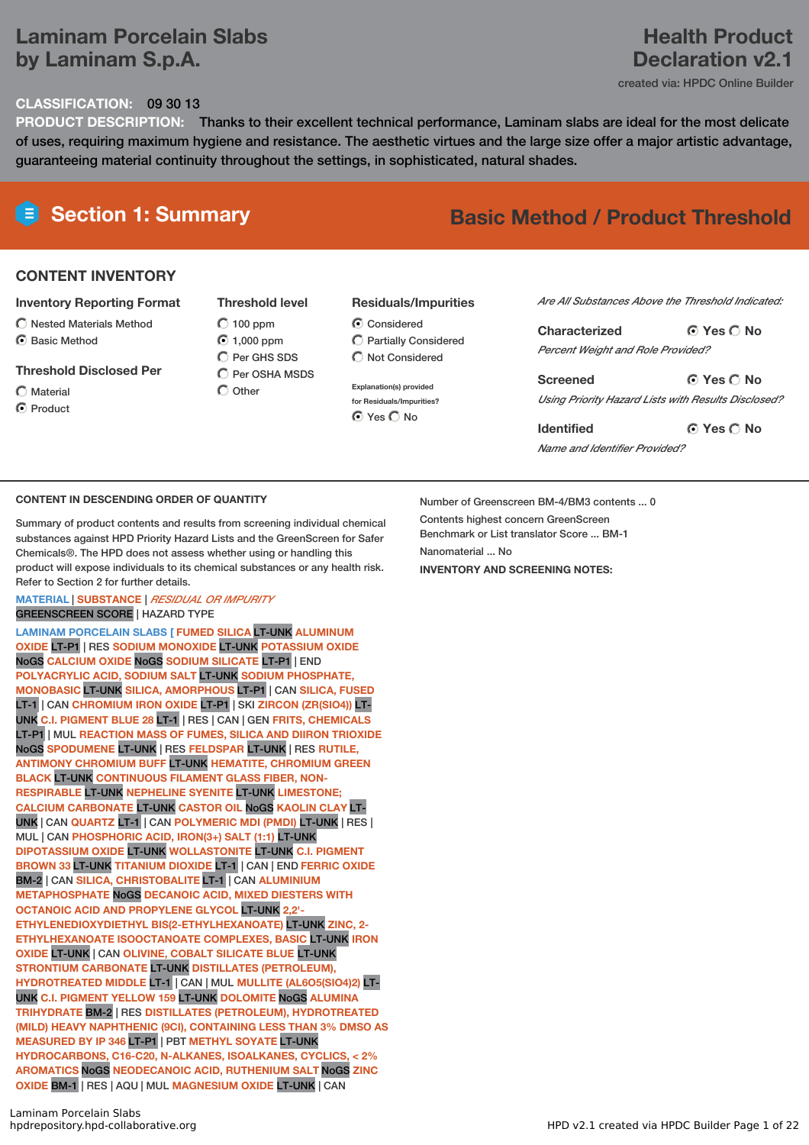# **Laminam Porcelain Slabs by Laminam S.p.A.**

# **Health Product Declaration v2.1**

created via: HPDC Online Builder

# **CLASSIFICATION:** 09 30 13

**PRODUCT DESCRIPTION:** Thanks to their excellent technical performance, Laminam slabs are ideal for the most delicate of uses, requiring maximum hygiene and resistance. The aesthetic virtues and the large size offer a major artistic advantage, guaranteeing material continuity throughout the settings, in sophisticated, natural shades.

# **Section 1: Summary Basic Method / Product Threshold**

# **CONTENT INVENTORY**

### **Inventory Reporting Format**

- $\bigcirc$  Nested Materials Method
- C Rasic Method

### **Threshold Disclosed Per**

Material **O** Product

**Threshold level**  $\bigcirc$  100 ppm 1,000 ppm C Per GHS SDS  $\bigcirc$  Per OSHA MSDS

 $\bigcap$  Other

## **Residuals/Impurities**

- C Considered Partially Considered  $\bigcap$  Not Considered
- **Explanation(s) provided for Residuals/Impurities? O** Yes O No

#### *Are All Substances Above the Threshold Indicated:*

**Yes No Characterized** *Percent Weight and Role Provided?*

**Yes No Screened** *Using Priority Hazard Lists with Results Disclosed?*

**Yes No Identified** *Name and Identifier Provided?*

### **CONTENT IN DESCENDING ORDER OF QUANTITY**

Summary of product contents and results from screening individual chemical substances against HPD Priority Hazard Lists and the GreenScreen for Safer Chemicals®. The HPD does not assess whether using or handling this product will expose individuals to its chemical substances or any health risk. Refer to Section 2 for further details.

### **MATERIAL** | **SUBSTANCE** | *RESIDUAL OR IMPURITY* GREENSCREEN SCORE | HAZARD TYPE

**LAMINAM PORCELAIN SLABS [ FUMED SILICA** LT-UNK **ALUMINUM OXIDE** LT-P1 | RES **SODIUM MONOXIDE** LT-UNK **POTASSIUM OXIDE** NoGS **CALCIUM OXIDE** NoGS **SODIUM SILICATE** LT-P1 | END **POLYACRYLIC ACID, SODIUM SALT** LT-UNK **SODIUM PHOSPHATE, MONOBASIC** LT-UNK **SILICA, AMORPHOUS** LT-P1 | CAN **SILICA, FUSED** LT-1 | CAN **CHROMIUM IRON OXIDE** LT-P1 | SKI **ZIRCON (ZR(SIO4))** LT-UNK **C.I. PIGMENT BLUE 28** LT-1 | RES | CAN | GEN **FRITS, CHEMICALS** LT-P1 | MUL **REACTION MASS OF FUMES, SILICA AND DIIRON TRIOXIDE** NoGS **SPODUMENE** LT-UNK | RES **FELDSPAR** LT-UNK | RES **RUTILE, ANTIMONY CHROMIUM BUFF** LT-UNK **HEMATITE, CHROMIUM GREEN BLACK** LT-UNK **CONTINUOUS FILAMENT GLASS FIBER, NON-RESPIRABLE** LT-UNK **NEPHELINE SYENITE** LT-UNK **LIMESTONE; CALCIUM CARBONATE** LT-UNK **CASTOR OIL** NoGS **KAOLIN CLAY** LT-UNK | CAN **QUARTZ** LT-1 | CAN **POLYMERIC MDI (PMDI)** LT-UNK | RES | MUL | CAN **PHOSPHORIC ACID, IRON(3+) SALT (1:1)** LT-UNK **DIPOTASSIUM OXIDE** LT-UNK **WOLLASTONITE** LT-UNK **C.I. PIGMENT BROWN 33** LT-UNK **TITANIUM DIOXIDE** LT-1 | CAN | END **FERRIC OXIDE** BM-2 | CAN **SILICA, CHRISTOBALITE** LT-1 | CAN **ALUMINIUM METAPHOSPHATE** NoGS **DECANOIC ACID, MIXED DIESTERS WITH OCTANOIC ACID AND PROPYLENE GLYCOL** LT-UNK **2,2'- ETHYLENEDIOXYDIETHYL BIS(2-ETHYLHEXANOATE)** LT-UNK **ZINC, 2- ETHYLHEXANOATE ISOOCTANOATE COMPLEXES, BASIC** LT-UNK **IRON OXIDE** LT-UNK | CAN **OLIVINE, COBALT SILICATE BLUE** LT-UNK **STRONTIUM CARBONATE** LT-UNK **DISTILLATES (PETROLEUM), HYDROTREATED MIDDLE** LT-1 | CAN | MUL **MULLITE (AL6O5(SIO4)2)** LT-UNK **C.I. PIGMENT YELLOW 159** LT-UNK **DOLOMITE** NoGS **ALUMINA TRIHYDRATE** BM-2 | RES **DISTILLATES (PETROLEUM), HYDROTREATED (MILD) HEAVY NAPHTHENIC (9CI), CONTAINING LESS THAN 3% DMSO AS MEASURED BY IP 346** LT-P1 | PBT **METHYL SOYATE** LT-UNK **HYDROCARBONS, C16-C20, N-ALKANES, ISOALKANES, CYCLICS, < 2% AROMATICS** NoGS **NEODECANOIC ACID, RUTHENIUM SALT** NoGS **ZINC OXIDE** BM-1 | RES | AQU | MUL **MAGNESIUM OXIDE** LT-UNK | CAN

Contents highest concern GreenScreen Benchmark or List translator Score ... BM-1 Nanomaterial No. **INVENTORY AND SCREENING NOTES:**

Number of Greenscreen BM-4/BM3 contents ... 0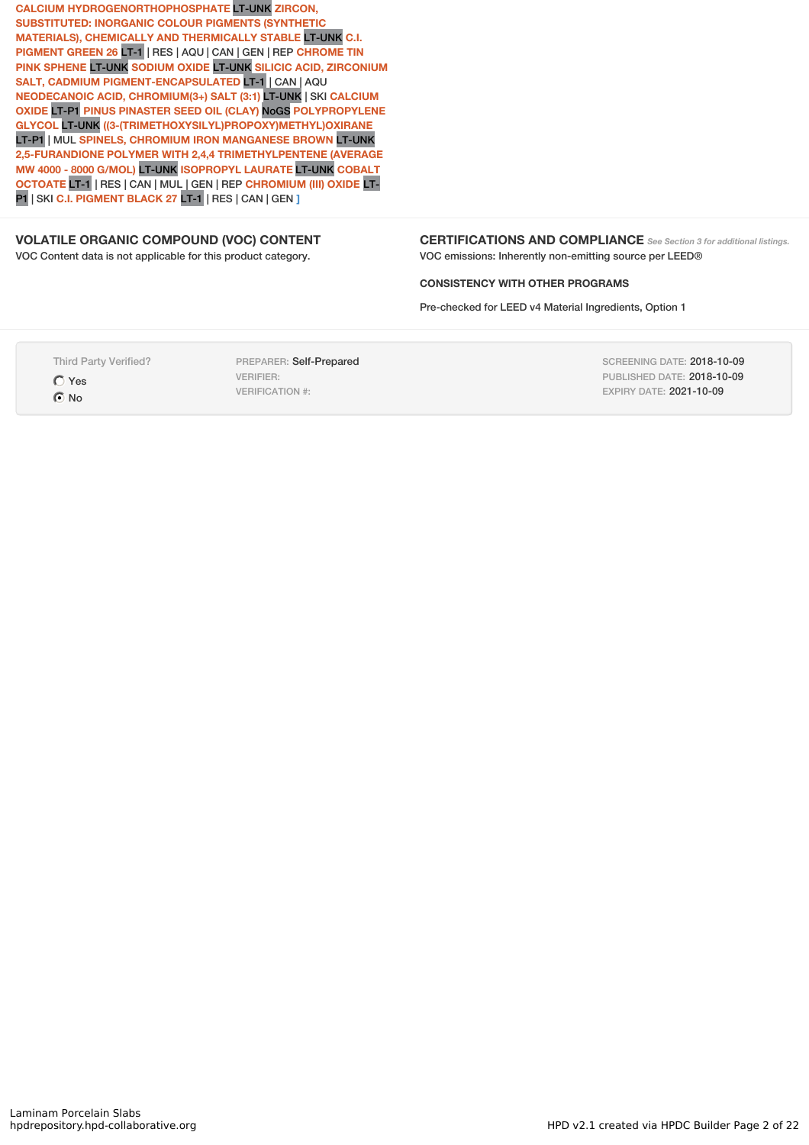**CALCIUM HYDROGENORTHOPHOSPHATE** LT-UNK **ZIRCON, SUBSTITUTED: INORGANIC COLOUR PIGMENTS (SYNTHETIC MATERIALS), CHEMICALLY AND THERMICALLY STABLE** LT-UNK **C.I. PIGMENT GREEN 26** LT-1 | RES | AQU | CAN | GEN | REP **CHROME TIN PINK SPHENE** LT-UNK **SODIUM OXIDE** LT-UNK **SILICIC ACID, ZIRCONIUM SALT, CADMIUM PIGMENT-ENCAPSULATED** LT-1 | CAN | AQU **NEODECANOIC ACID, CHROMIUM(3+) SALT (3:1)** LT-UNK | SKI **CALCIUM OXIDE** LT-P1 **PINUS PINASTER SEED OIL (CLAY)** NoGS **POLYPROPYLENE GLYCOL** LT-UNK **((3-(TRIMETHOXYSILYL)PROPOXY)METHYL)OXIRANE** LT-P1 | MUL **SPINELS, CHROMIUM IRON MANGANESE BROWN** LT-UNK **2,5-FURANDIONE POLYMER WITH 2,4,4 TRIMETHYLPENTENE (AVERAGE MW 4000 - 8000 G/MOL)** LT-UNK **ISOPROPYL LAURATE** LT-UNK **COBALT OCTOATE** LT-1 | RES | CAN | MUL | GEN | REP **CHROMIUM (III) OXIDE** LT-P1 | SKI **C.I. PIGMENT BLACK 27** LT-1 | RES | CAN | GEN **]**

### **VOLATILE ORGANIC COMPOUND (VOC) CONTENT**

VOC Content data is not applicable for this product category.

**CERTIFICATIONS AND COMPLIANCE** *See Section <sup>3</sup> for additional listings.* VOC emissions: Inherently non-emitting source per LEED®

#### **CONSISTENCY WITH OTHER PROGRAMS**

Pre-checked for LEED v4 Material Ingredients, Option 1

Third Party Verified? Yes

 $\odot$  No

PREPARER: Self-Prepared VERIFIER: VERIFICATION #:

SCREENING DATE: 2018-10-09 PUBLISHED DATE: 2018-10-09 EXPIRY DATE: 2021-10-09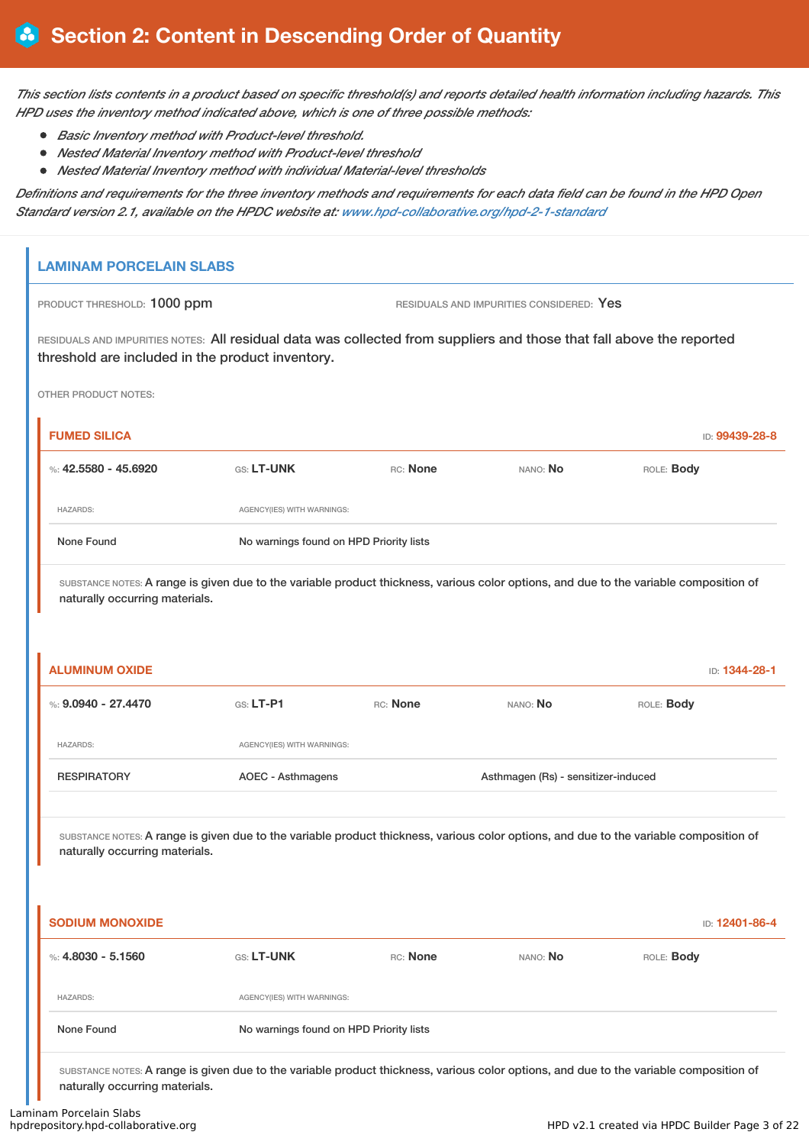This section lists contents in a product based on specific threshold(s) and reports detailed health information including hazards. This *HPD uses the inventory method indicated above, which is one of three possible methods:*

- *Basic Inventory method with Product-level threshold.*
- *Nested Material Inventory method with Product-level threshold*
- *Nested Material Inventory method with individual Material-level thresholds*

Definitions and requirements for the three inventory methods and requirements for each data field can be found in the HPD Open *Standard version 2.1, available on the HPDC website at: www.hpd-collaborative.org/hpd-2-1-standard*

# **LAMINAM PORCELAIN SLABS**

PRODUCT THRESHOLD: 1000 ppm RESIDUALS AND IMPURITIES CONSIDERED: Yes

RESIDUALS AND IMPURITIES NOTES: All residual data was collected from suppliers and those that fall above the reported threshold are included in the product inventory.

OTHER PRODUCT NOTES:

| <b>FUMED SILICA</b>                                                                                                                                                      |                                         |          |          | ID: 99439-28-8    |
|--------------------------------------------------------------------------------------------------------------------------------------------------------------------------|-----------------------------------------|----------|----------|-------------------|
| %: $42.5580 - 45.6920$                                                                                                                                                   | <b>GS: LT-UNK</b>                       | RC: None | NANO: No | ROLE: <b>Body</b> |
| <b>HAZARDS:</b>                                                                                                                                                          | AGENCY(IES) WITH WARNINGS:              |          |          |                   |
| None Found                                                                                                                                                               | No warnings found on HPD Priority lists |          |          |                   |
| SUBSTANCE NOTES: A range is given due to the variable product thickness, various color options, and due to the variable composition of<br>naturally occurring materials. |                                         |          |          |                   |

| <b>RESPIRATORY</b>    | AOEC - Asthmagens          |          | Asthmagen (Rs) - sensitizer-induced |                   |
|-----------------------|----------------------------|----------|-------------------------------------|-------------------|
| <b>HAZARDS:</b>       | AGENCY(IES) WITH WARNINGS: |          |                                     |                   |
| %: $9.0940 - 27.4470$ | $GS: LT-PI$                | RC: None | NANO: No                            | ROLE: <b>Body</b> |
| <b>ALUMINUM OXIDE</b> |                            |          |                                     | ID: 1344-28-1     |

SUBSTANCE NOTES: A range is given due to the variable product thickness, various color options, and due to the variable composition of naturally occurring materials.

| <b>SODIUM MONOXIDE</b> |                                         |          |          | ID: 12401-86-4 |
|------------------------|-----------------------------------------|----------|----------|----------------|
| %: $4.8030 - 5.1560$   | <b>GS: LT-UNK</b>                       | RC: None | NANO: No | ROLE: Body     |
| <b>HAZARDS:</b>        | AGENCY(IES) WITH WARNINGS:              |          |          |                |
| None Found             | No warnings found on HPD Priority lists |          |          |                |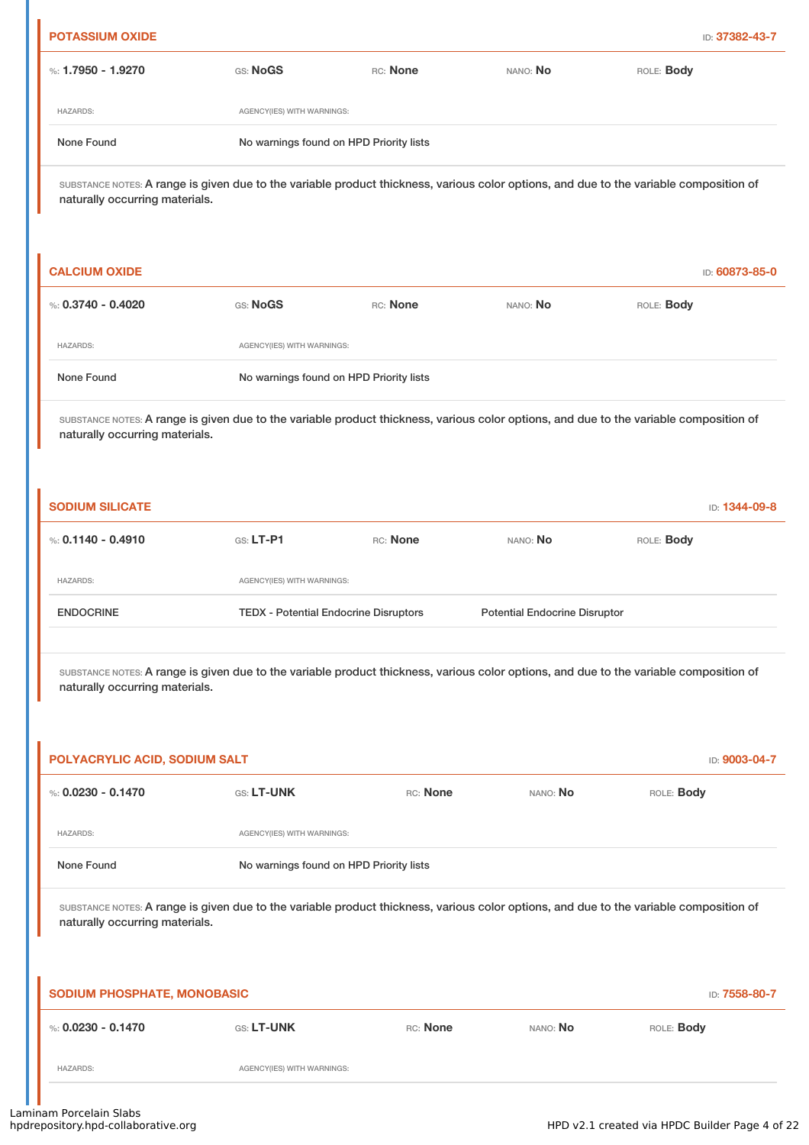|                                                                                                                                                                          |                            |                                                                                                                                        |                                      | ID: 37382-43-7                                                                                                                         |  |
|--------------------------------------------------------------------------------------------------------------------------------------------------------------------------|----------------------------|----------------------------------------------------------------------------------------------------------------------------------------|--------------------------------------|----------------------------------------------------------------------------------------------------------------------------------------|--|
| %: 1.7950 - 1.9270                                                                                                                                                       | GS: NoGS                   | RC: None                                                                                                                               | NANO: No                             | ROLE: Body                                                                                                                             |  |
| <b>HAZARDS:</b>                                                                                                                                                          | AGENCY(IES) WITH WARNINGS: |                                                                                                                                        |                                      |                                                                                                                                        |  |
| None Found                                                                                                                                                               |                            | No warnings found on HPD Priority lists                                                                                                |                                      |                                                                                                                                        |  |
| naturally occurring materials.                                                                                                                                           |                            |                                                                                                                                        |                                      | SUBSTANCE NOTES: A range is given due to the variable product thickness, various color options, and due to the variable composition of |  |
| <b>CALCIUM OXIDE</b>                                                                                                                                                     |                            |                                                                                                                                        |                                      | ID: 60873-85-0                                                                                                                         |  |
| %: $0.3740 - 0.4020$                                                                                                                                                     | GS: NoGS                   | RC: None                                                                                                                               | NANO: No                             | ROLE: Body                                                                                                                             |  |
| <b>HAZARDS:</b>                                                                                                                                                          | AGENCY(IES) WITH WARNINGS: |                                                                                                                                        |                                      |                                                                                                                                        |  |
| None Found                                                                                                                                                               |                            | No warnings found on HPD Priority lists                                                                                                |                                      |                                                                                                                                        |  |
| SUBSTANCE NOTES: A range is given due to the variable product thickness, various color options, and due to the variable composition of<br>naturally occurring materials. |                            |                                                                                                                                        |                                      |                                                                                                                                        |  |
| <b>SODIUM SILICATE</b>                                                                                                                                                   |                            |                                                                                                                                        |                                      | ID: 1344-09-8                                                                                                                          |  |
| %: $0.1140 - 0.4910$                                                                                                                                                     | $G.S. LT-P1$               | RC: None                                                                                                                               | NANO: No                             | ROLE: Body                                                                                                                             |  |
| <b>HAZARDS:</b>                                                                                                                                                          | AGENCY(IES) WITH WARNINGS: |                                                                                                                                        |                                      |                                                                                                                                        |  |
| <b>ENDOCRINE</b>                                                                                                                                                         |                            | <b>TEDX - Potential Endocrine Disruptors</b>                                                                                           | <b>Potential Endocrine Disruptor</b> |                                                                                                                                        |  |
|                                                                                                                                                                          |                            |                                                                                                                                        |                                      |                                                                                                                                        |  |
| naturally occurring materials.                                                                                                                                           |                            | SUBSTANCE NOTES: A range is given due to the variable product thickness, various color options, and due to the variable composition of |                                      |                                                                                                                                        |  |
|                                                                                                                                                                          |                            |                                                                                                                                        |                                      | ID: 9003-04-7                                                                                                                          |  |
|                                                                                                                                                                          | GS: LT-UNK                 | RC: None                                                                                                                               | NANO: No                             | ROLE: Body                                                                                                                             |  |
| <b>HAZARDS:</b>                                                                                                                                                          | AGENCY(IES) WITH WARNINGS: |                                                                                                                                        |                                      |                                                                                                                                        |  |
| POLYACRYLIC ACID, SODIUM SALT<br>%: $0.0230 - 0.1470$<br>None Found                                                                                                      |                            | No warnings found on HPD Priority lists                                                                                                |                                      |                                                                                                                                        |  |
| naturally occurring materials.                                                                                                                                           |                            |                                                                                                                                        |                                      | SUBSTANCE NOTES: A range is given due to the variable product thickness, various color options, and due to the variable composition of |  |
| SODIUM PHOSPHATE, MONOBASIC                                                                                                                                              |                            |                                                                                                                                        |                                      | ID: 7558-80-7                                                                                                                          |  |
| %: $0.0230 - 0.1470$                                                                                                                                                     | GS: LT-UNK                 | RC: None                                                                                                                               | NANO: No                             | ROLE: Body                                                                                                                             |  |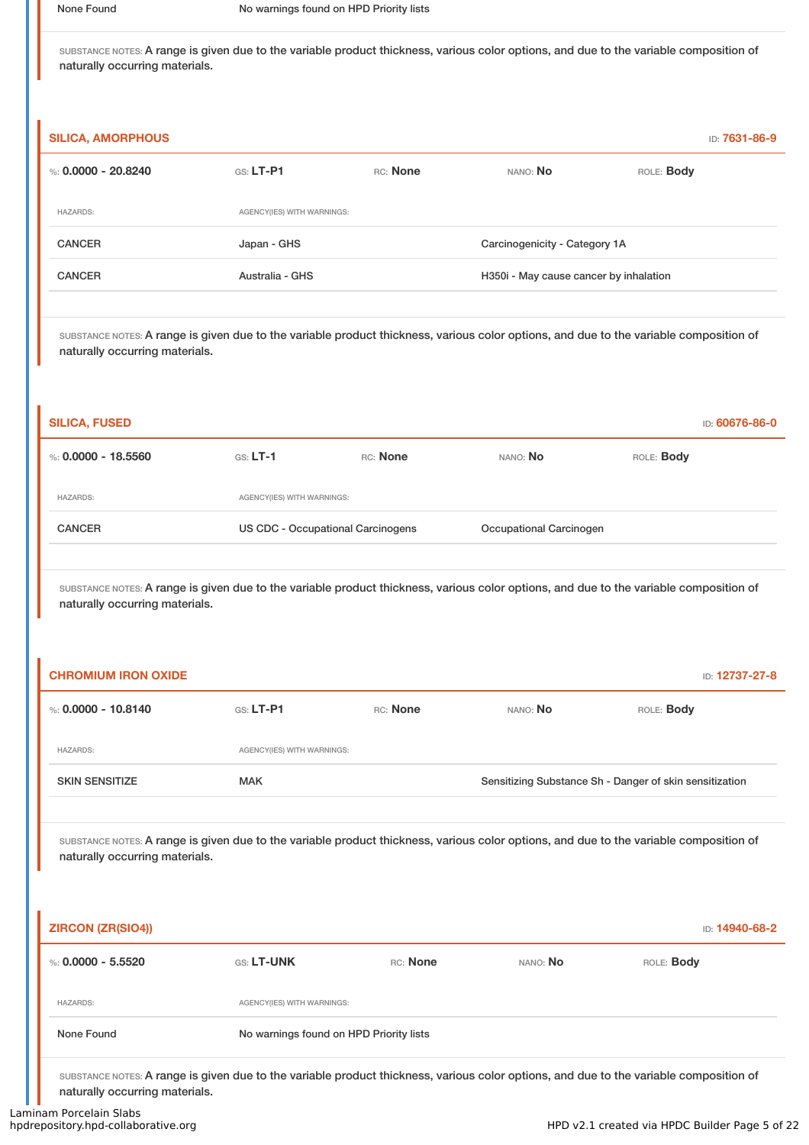| <b>SILICA, AMORPHOUS</b> |                            |          |                                        | ID: 7631-86-9     |
|--------------------------|----------------------------|----------|----------------------------------------|-------------------|
| %: 0.0000 - 20.8240      | $GS: LT-P1$                | RC: None | NANO: No                               | ROLE: <b>Body</b> |
| <b>HAZARDS:</b>          | AGENCY(IES) WITH WARNINGS: |          |                                        |                   |
| <b>CANCER</b>            | Japan - GHS                |          | Carcinogenicity - Category 1A          |                   |
| <b>CANCER</b>            | Australia - GHS            |          | H350i - May cause cancer by inhalation |                   |
|                          |                            |          |                                        |                   |

SUBSTANCE NOTES: A range is given due to the variable product thickness, various color options, and due to the variable composition of naturally occurring materials.

| <b>SILICA, FUSED</b> |                                   |          |                         | ID: 60676-86-0    |
|----------------------|-----------------------------------|----------|-------------------------|-------------------|
| %: 0.0000 - 18.5560  | $GS: LT-1$                        | RC: None | nano: <b>No</b>         | ROLE: <b>Body</b> |
| <b>HAZARDS:</b>      | AGENCY(IES) WITH WARNINGS:        |          |                         |                   |
| <b>CANCER</b>        | US CDC - Occupational Carcinogens |          | Occupational Carcinogen |                   |
|                      |                                   |          |                         |                   |

SUBSTANCE NOTES: A range is given due to the variable product thickness, various color options, and due to the variable composition of naturally occurring materials.

| <b>CHROMIUM IRON OXIDE</b> |                            |          |                                                         | ID: 12737-27-8 |
|----------------------------|----------------------------|----------|---------------------------------------------------------|----------------|
| %: 0.0000 - 10.8140        | $G.S.$ LT-P1               | RC: None | NANO: No                                                | ROLE: Body     |
| <b>HAZARDS:</b>            | AGENCY(IES) WITH WARNINGS: |          |                                                         |                |
| <b>SKIN SENSITIZE</b>      | <b>MAK</b>                 |          | Sensitizing Substance Sh - Danger of skin sensitization |                |
|                            |                            |          |                                                         |                |

SUBSTANCE NOTES: A range is given due to the variable product thickness, various color options, and due to the variable composition of naturally occurring materials.

| <b>ZIRCON (ZR(SIO4))</b> |                                         |          |          | ID: <b>14940-68-2</b> |
|--------------------------|-----------------------------------------|----------|----------|-----------------------|
| %: $0.0000 - 5.5520$     | <b>GS: LT-UNK</b>                       | RC: None | NANO: No | ROLE: Body            |
| <b>HAZARDS:</b>          | AGENCY(IES) WITH WARNINGS:              |          |          |                       |
| None Found               | No warnings found on HPD Priority lists |          |          |                       |
|                          |                                         |          |          |                       |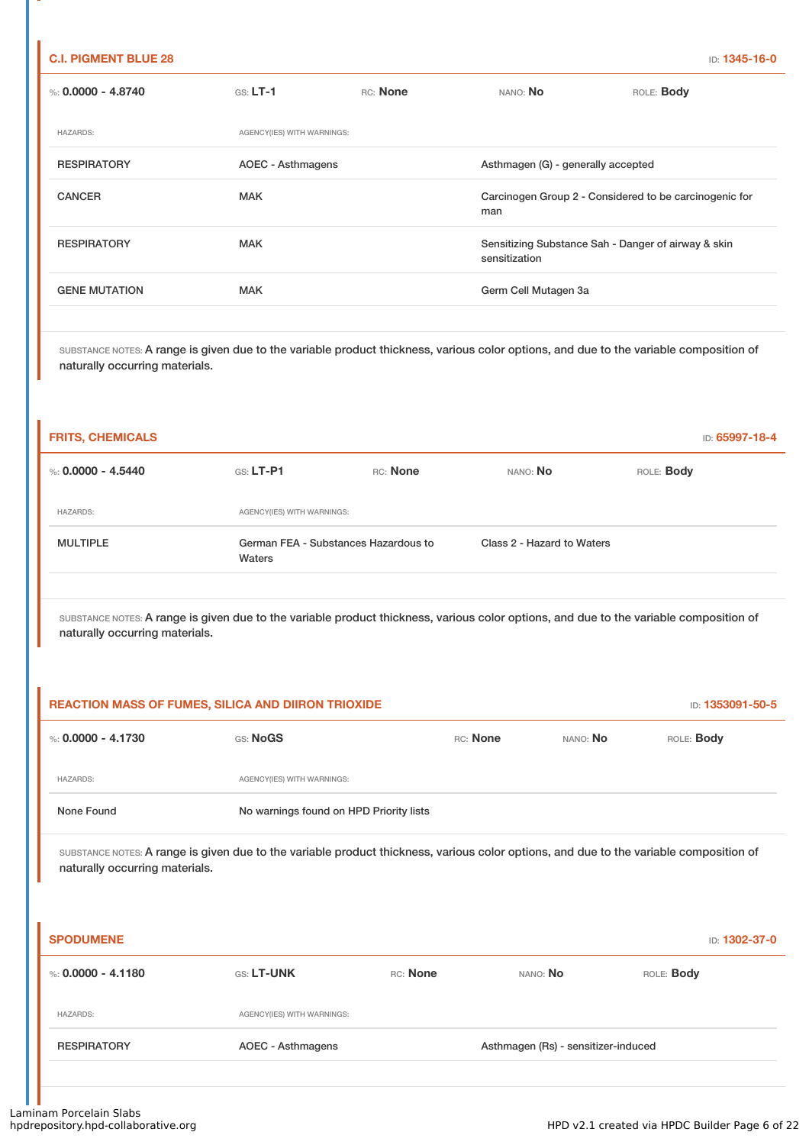### **C.I. PIGMENT BLUE 28** ID: **1345-16-0**

| %: 0.0000 - 4.8740   | $GS: LT-1$                 | RC: None | NANO: No                                                             | ROLE: <b>Body</b> |
|----------------------|----------------------------|----------|----------------------------------------------------------------------|-------------------|
| <b>HAZARDS:</b>      | AGENCY(IES) WITH WARNINGS: |          |                                                                      |                   |
| <b>RESPIRATORY</b>   | AOEC - Asthmagens          |          | Asthmagen (G) - generally accepted                                   |                   |
| <b>CANCER</b>        | <b>MAK</b>                 |          | Carcinogen Group 2 - Considered to be carcinogenic for<br>man        |                   |
| <b>RESPIRATORY</b>   | <b>MAK</b>                 |          | Sensitizing Substance Sah - Danger of airway & skin<br>sensitization |                   |
| <b>GENE MUTATION</b> | <b>MAK</b>                 |          | Germ Cell Mutagen 3a                                                 |                   |
|                      |                            |          |                                                                      |                   |

SUBSTANCE NOTES: A range is given due to the variable product thickness, various color options, and due to the variable composition of naturally occurring materials.

| <b>FRITS, CHEMICALS</b> |                                                |          |                            | ID: 65997-18-4 |
|-------------------------|------------------------------------------------|----------|----------------------------|----------------|
| %: $0.0000 - 4.5440$    | $G.S.$ LT-P1                                   | RC: None | NANO: No                   | ROLE: Body     |
| <b>HAZARDS:</b>         | AGENCY(IES) WITH WARNINGS:                     |          |                            |                |
| <b>MULTIPLE</b>         | German FEA - Substances Hazardous to<br>Waters |          | Class 2 - Hazard to Waters |                |

SUBSTANCE NOTES: A range is given due to the variable product thickness, various color options, and due to the variable composition of naturally occurring materials.

| <b>REACTION MASS OF FUMES, SILICA AND DIIRON TRIOXIDE</b> |                                         |          |          | ID: 1353091-50-5  |
|-----------------------------------------------------------|-----------------------------------------|----------|----------|-------------------|
| %: 0.0000 - 4.1730                                        | GS: NoGS                                | RC: None | NANO: No | ROLE: <b>Body</b> |
| <b>HAZARDS:</b>                                           | AGENCY(IES) WITH WARNINGS:              |          |          |                   |
| None Found                                                | No warnings found on HPD Priority lists |          |          |                   |

| <b>SPODUMENE</b>   |                            |          |                                     | ID: 1302-37-0     |
|--------------------|----------------------------|----------|-------------------------------------|-------------------|
| %: 0.0000 - 4.1180 | <b>GS: LT-UNK</b>          | RC: None | NANO: No                            | ROLE: <b>Body</b> |
| <b>HAZARDS:</b>    | AGENCY(IES) WITH WARNINGS: |          |                                     |                   |
| <b>RESPIRATORY</b> | AOEC - Asthmagens          |          | Asthmagen (Rs) - sensitizer-induced |                   |
|                    |                            |          |                                     |                   |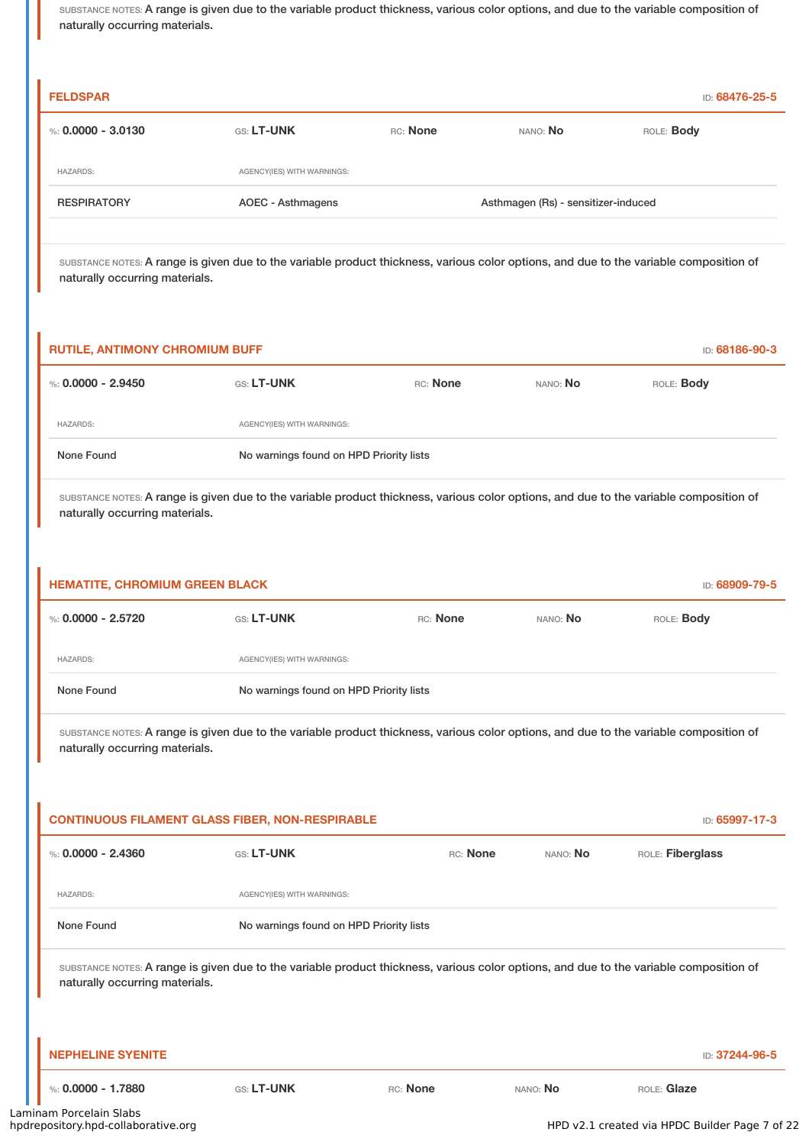| <b>FELDSPAR</b>    |                            |          |                                     | ID: 68476-25-5    |
|--------------------|----------------------------|----------|-------------------------------------|-------------------|
| %: 0.0000 - 3.0130 | <b>GS: LT-UNK</b>          | RC: None | NANO: No                            | ROLE: <b>Body</b> |
| <b>HAZARDS:</b>    | AGENCY(IES) WITH WARNINGS: |          |                                     |                   |
| <b>RESPIRATORY</b> | AOEC - Asthmagens          |          | Asthmagen (Rs) - sensitizer-induced |                   |

SUBSTANCE NOTES: A range is given due to the variable product thickness, various color options, and due to the variable composition of naturally occurring materials.

| <b>RUTILE, ANTIMONY CHROMIUM BUFF</b> |                                         |          |                 | ID: 68186-90-3    |
|---------------------------------------|-----------------------------------------|----------|-----------------|-------------------|
| %: $0.0000 - 2.9450$                  | <b>GS: LT-UNK</b>                       | RC: None | nano: <b>No</b> | ROLE: <b>Body</b> |
| <b>HAZARDS:</b>                       | AGENCY(IES) WITH WARNINGS:              |          |                 |                   |
| None Found                            | No warnings found on HPD Priority lists |          |                 |                   |

SUBSTANCE NOTES: A range is given due to the variable product thickness, various color options, and due to the variable composition of naturally occurring materials.

| <b>HEMATITE, CHROMIUM GREEN BLACK</b> |                                         |          |          | ID: 68909-79-5    |
|---------------------------------------|-----------------------------------------|----------|----------|-------------------|
| %: 0.0000 - 2.5720                    | <b>GS: LT-UNK</b>                       | RC: None | NANO: No | ROLE: <b>Body</b> |
| <b>HAZARDS:</b>                       | AGENCY(IES) WITH WARNINGS:              |          |          |                   |
| None Found                            | No warnings found on HPD Priority lists |          |          |                   |

SUBSTANCE NOTES: A range is given due to the variable product thickness, various color options, and due to the variable composition of naturally occurring materials.

| <b>CONTINUOUS FILAMENT GLASS FIBER, NON-RESPIRABLE</b> | ID: 65997-17-3                                                                                                                         |          |          |                  |  |
|--------------------------------------------------------|----------------------------------------------------------------------------------------------------------------------------------------|----------|----------|------------------|--|
| %: $0.0000 - 2.4360$                                   | <b>GS: LT-UNK</b>                                                                                                                      | RC: None | NANO: No | ROLE: Fiberglass |  |
| <b>HAZARDS:</b>                                        | AGENCY(IES) WITH WARNINGS:                                                                                                             |          |          |                  |  |
| None Found                                             | No warnings found on HPD Priority lists                                                                                                |          |          |                  |  |
| naturally occurring materials.                         | SUBSTANCE NOTES: A range is given due to the variable product thickness, various color options, and due to the variable composition of |          |          |                  |  |
| <b>NEPHELINE SYENITE</b>                               |                                                                                                                                        |          |          | ID: 37244-96-5   |  |
| %: $0.0000 - 1.7880$<br>aam Dorcolain Clabe            | GS: LT-UNK<br>RC: None                                                                                                                 |          | NANO: No | ROLE: Glaze      |  |

HPD v2.1 created via HPDC Builder Page 7 of 22

 $\overline{\phantom{a}}$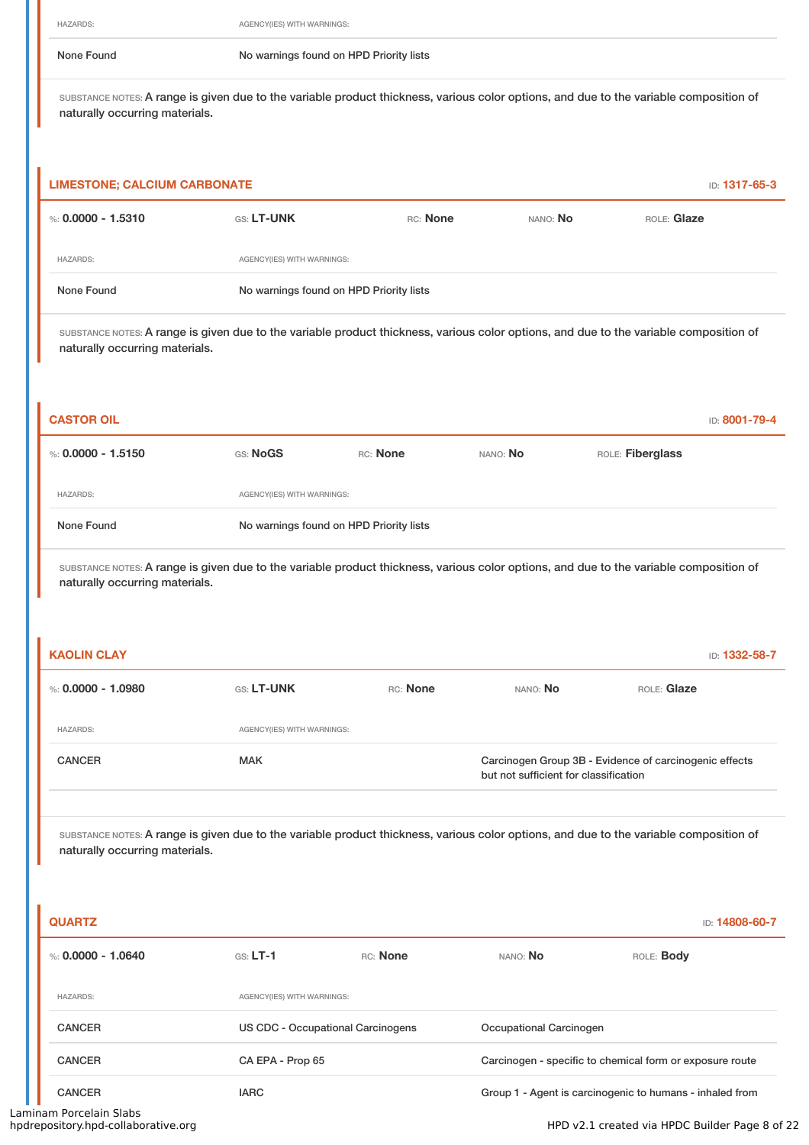None Found No warnings found on HPD Priority lists

SUBSTANCE NOTES: A range is given due to the variable product thickness, various color options, and due to the variable composition of naturally occurring materials.

| <b>LIMESTONE; CALCIUM CARBONATE</b> |                                         |          |          | <b>ID: 1317-65-3</b> |
|-------------------------------------|-----------------------------------------|----------|----------|----------------------|
| %: 0,0000 - 1.5310                  | <b>GS: LT-UNK</b>                       | RC: None | NANO: No | ROLE: Glaze          |
| <b>HAZARDS:</b>                     | AGENCY(IES) WITH WARNINGS:              |          |          |                      |
| None Found                          | No warnings found on HPD Priority lists |          |          |                      |

SUBSTANCE NOTES: A range is given due to the variable product thickness, various color options, and due to the variable composition of naturally occurring materials.

| <b>CASTOR OIL</b>  |          |                                         |          |                  | ID: 8001-79-4 |
|--------------------|----------|-----------------------------------------|----------|------------------|---------------|
| %: 0.0000 - 1.5150 | GS: NoGS | RC: None                                | NANO: No | ROLE: Fiberglass |               |
| <b>HAZARDS:</b>    |          | AGENCY(IES) WITH WARNINGS:              |          |                  |               |
| None Found         |          | No warnings found on HPD Priority lists |          |                  |               |

SUBSTANCE NOTES: A range is given due to the variable product thickness, various color options, and due to the variable composition of naturally occurring materials.

| <b>KAOLIN CLAY</b> |                            |          |                                       | ID: 1332-58-7                                          |
|--------------------|----------------------------|----------|---------------------------------------|--------------------------------------------------------|
| %: 0.0000 - 1.0980 | <b>GS: LT-UNK</b>          | RC: None | NANO: No                              | ROLE: Glaze                                            |
| <b>HAZARDS:</b>    | AGENCY(IES) WITH WARNINGS: |          |                                       |                                                        |
| <b>CANCER</b>      | <b>MAK</b>                 |          | but not sufficient for classification | Carcinogen Group 3B - Evidence of carcinogenic effects |
|                    |                            |          |                                       |                                                        |

SUBSTANCE NOTES: A range is given due to the variable product thickness, various color options, and due to the variable composition of naturally occurring materials.

|                  |          |                                                                        | ID: 14808-60-7                                           |
|------------------|----------|------------------------------------------------------------------------|----------------------------------------------------------|
| $GS: LT-1$       | RC: None | NANO: No                                                               | ROLE: <b>Body</b>                                        |
|                  |          |                                                                        |                                                          |
|                  |          | Occupational Carcinogen                                                |                                                          |
| CA EPA - Prop 65 |          |                                                                        | Carcinogen - specific to chemical form or exposure route |
| <b>IARC</b>      |          |                                                                        | Group 1 - Agent is carcinogenic to humans - inhaled from |
|                  |          | AGENCY(IES) WITH WARNINGS:<br><b>US CDC - Occupational Carcinogens</b> |                                                          |

Laminam Porcelain Slabs<br>hpdrepository.hpd-collaborative.org

HPD v2.1 created via HPDC Builder Page 8 of 22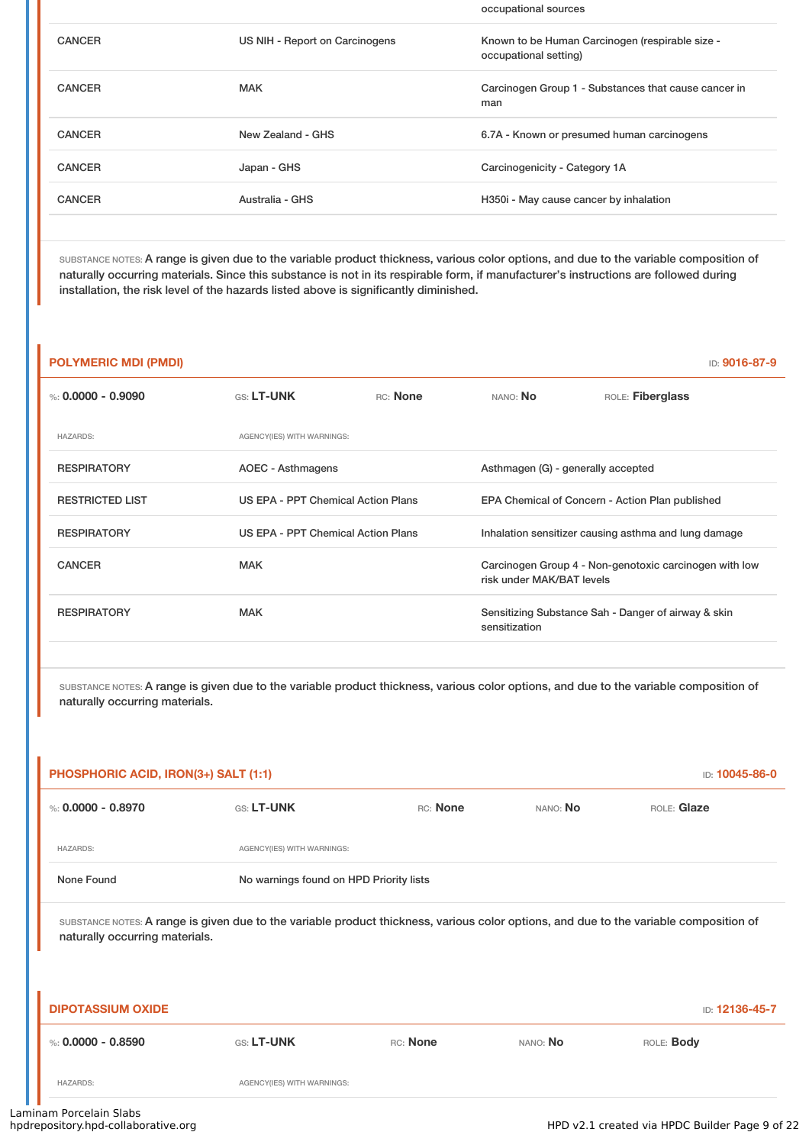|               |                                | occupational sources                                                     |
|---------------|--------------------------------|--------------------------------------------------------------------------|
| <b>CANCER</b> | US NIH - Report on Carcinogens | Known to be Human Carcinogen (respirable size -<br>occupational setting) |
| <b>CANCER</b> | <b>MAK</b>                     | Carcinogen Group 1 - Substances that cause cancer in<br>man              |
| <b>CANCER</b> | New Zealand - GHS              | 6.7A - Known or presumed human carcinogens                               |
| <b>CANCER</b> | Japan - GHS                    | Carcinogenicity - Category 1A                                            |
| <b>CANCER</b> | Australia - GHS                | H350i - May cause cancer by inhalation                                   |
|               |                                |                                                                          |

SUBSTANCE NOTES: A range is given due to the variable product thickness, various color options, and due to the variable composition of naturally occurring materials. Since this substance is not in its respirable form, if manufacturer's instructions are followed during installation, the risk level of the hazards listed above is significantly diminished.

| <b>POLYMERIC MDI (PMDI)</b> |                            |                                    |                                    | ID: 9016-87-9                                          |  |  |
|-----------------------------|----------------------------|------------------------------------|------------------------------------|--------------------------------------------------------|--|--|
| %: 0.0000 - 0.9090          | <b>GS: LT-UNK</b>          | RC: None                           | NANO: <b>No</b>                    | ROLE: Fiberglass                                       |  |  |
| <b>HAZARDS:</b>             | AGENCY(IES) WITH WARNINGS: |                                    |                                    |                                                        |  |  |
| <b>RESPIRATORY</b>          | AOEC - Asthmagens          |                                    | Asthmagen (G) - generally accepted |                                                        |  |  |
| <b>RESTRICTED LIST</b>      |                            | US EPA - PPT Chemical Action Plans |                                    | EPA Chemical of Concern - Action Plan published        |  |  |
| <b>RESPIRATORY</b>          |                            | US EPA - PPT Chemical Action Plans |                                    | Inhalation sensitizer causing asthma and lung damage   |  |  |
| <b>CANCER</b>               | <b>MAK</b>                 |                                    | risk under MAK/BAT levels          | Carcinogen Group 4 - Non-genotoxic carcinogen with low |  |  |
| <b>RESPIRATORY</b>          | <b>MAK</b>                 |                                    | sensitization                      | Sensitizing Substance Sah - Danger of airway & skin    |  |  |
|                             |                            |                                    |                                    |                                                        |  |  |

| PHOSPHORIC ACID, IRON(3+) SALT (1:1)<br>ID: 10045-86-0                                                                                                                   |                            |                                         |          |                |  |  |
|--------------------------------------------------------------------------------------------------------------------------------------------------------------------------|----------------------------|-----------------------------------------|----------|----------------|--|--|
| %: $0.0000 - 0.8970$                                                                                                                                                     | GS: LT-UNK                 | RC: None                                | NANO: No | ROLE: Glaze    |  |  |
| <b>HAZARDS:</b>                                                                                                                                                          | AGENCY(IES) WITH WARNINGS: |                                         |          |                |  |  |
| None Found                                                                                                                                                               |                            | No warnings found on HPD Priority lists |          |                |  |  |
| SUBSTANCE NOTES: A range is given due to the variable product thickness, various color options, and due to the variable composition of<br>naturally occurring materials. |                            |                                         |          |                |  |  |
| <b>DIPOTASSIUM OXIDE</b>                                                                                                                                                 |                            |                                         |          | ID: 12136-45-7 |  |  |
| %: $0.0000 - 0.8590$                                                                                                                                                     | GS: LT-UNK                 | RC: None                                | NANO: No | ROLE: Body     |  |  |
| <b>HAZARDS:</b>                                                                                                                                                          | AGENCY(IES) WITH WARNINGS: |                                         |          |                |  |  |
| nam Porcelain Slahs                                                                                                                                                      |                            |                                         |          |                |  |  |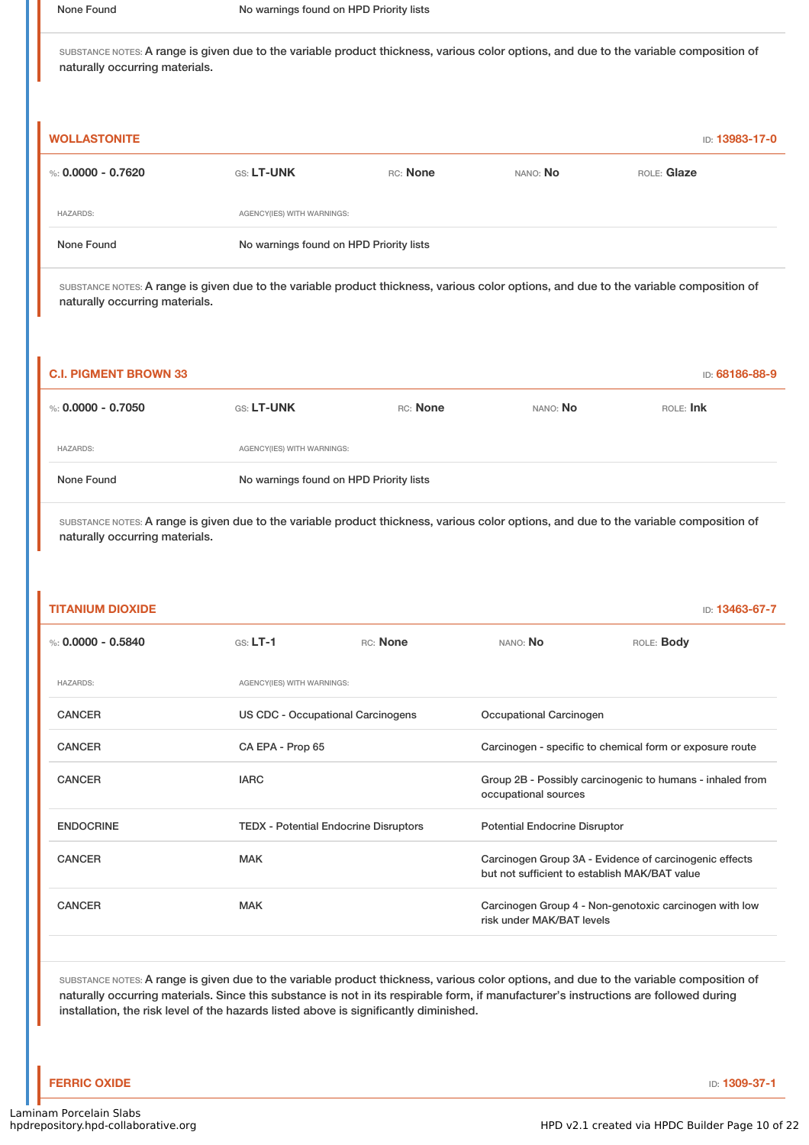| <b>WOLLASTONITE</b> |                                         |                            |          | <b>ID: 13983-17-0</b> |  |
|---------------------|-----------------------------------------|----------------------------|----------|-----------------------|--|
| %: 0.0000 - 0.7620  | <b>GS: LT-UNK</b>                       | RC: None                   | NANO: No | ROLE: Glaze           |  |
| <b>HAZARDS:</b>     |                                         | AGENCY(IES) WITH WARNINGS: |          |                       |  |
| None Found          | No warnings found on HPD Priority lists |                            |          |                       |  |

SUBSTANCE NOTES: A range is given due to the variable product thickness, various color options, and due to the variable composition of naturally occurring materials.

| <b>C.I. PIGMENT BROWN 33</b> |                                         |          |          | ID: 68186-88-9 |
|------------------------------|-----------------------------------------|----------|----------|----------------|
| %: 0.0000 - 0.7050           | <b>GS: LT-UNK</b>                       | RC: None | NANO: No | ROLE: Ink      |
| <b>HAZARDS:</b>              | AGENCY(IES) WITH WARNINGS:              |          |          |                |
| None Found                   | No warnings found on HPD Priority lists |          |          |                |

SUBSTANCE NOTES: A range is given due to the variable product thickness, various color options, and due to the variable composition of naturally occurring materials.

| <b>TITANIUM DIOXIDE</b> |                            |                                              |                                                                                                         | ID: 13463-67-7                                         |  |
|-------------------------|----------------------------|----------------------------------------------|---------------------------------------------------------------------------------------------------------|--------------------------------------------------------|--|
| %: $0.0000 - 0.5840$    | $GS: LT-1$                 | RC: None                                     | NANO: No                                                                                                | ROLE: <b>Body</b>                                      |  |
| <b>HAZARDS:</b>         | AGENCY(IES) WITH WARNINGS: |                                              |                                                                                                         |                                                        |  |
| <b>CANCER</b>           |                            | US CDC - Occupational Carcinogens            |                                                                                                         | Occupational Carcinogen                                |  |
| <b>CANCER</b>           | CA EPA - Prop 65           |                                              | Carcinogen - specific to chemical form or exposure route                                                |                                                        |  |
| <b>CANCER</b>           | <b>IARC</b>                |                                              | Group 2B - Possibly carcinogenic to humans - inhaled from<br>occupational sources                       |                                                        |  |
| <b>ENDOCRINE</b>        |                            | <b>TEDX - Potential Endocrine Disruptors</b> |                                                                                                         | <b>Potential Endocrine Disruptor</b>                   |  |
| <b>CANCER</b>           | <b>MAK</b>                 |                                              | Carcinogen Group 3A - Evidence of carcinogenic effects<br>but not sufficient to establish MAK/BAT value |                                                        |  |
| <b>CANCER</b>           | <b>MAK</b>                 |                                              | risk under MAK/BAT levels                                                                               | Carcinogen Group 4 - Non-genotoxic carcinogen with low |  |
|                         |                            |                                              |                                                                                                         |                                                        |  |

SUBSTANCE NOTES: A range is given due to the variable product thickness, various color options, and due to the variable composition of naturally occurring materials. Since this substance is not in its respirable form, if manufacturer's instructions are followed during installation, the risk level of the hazards listed above is significantly diminished.

**FERRIC OXIDE** ID: **1309-37-1**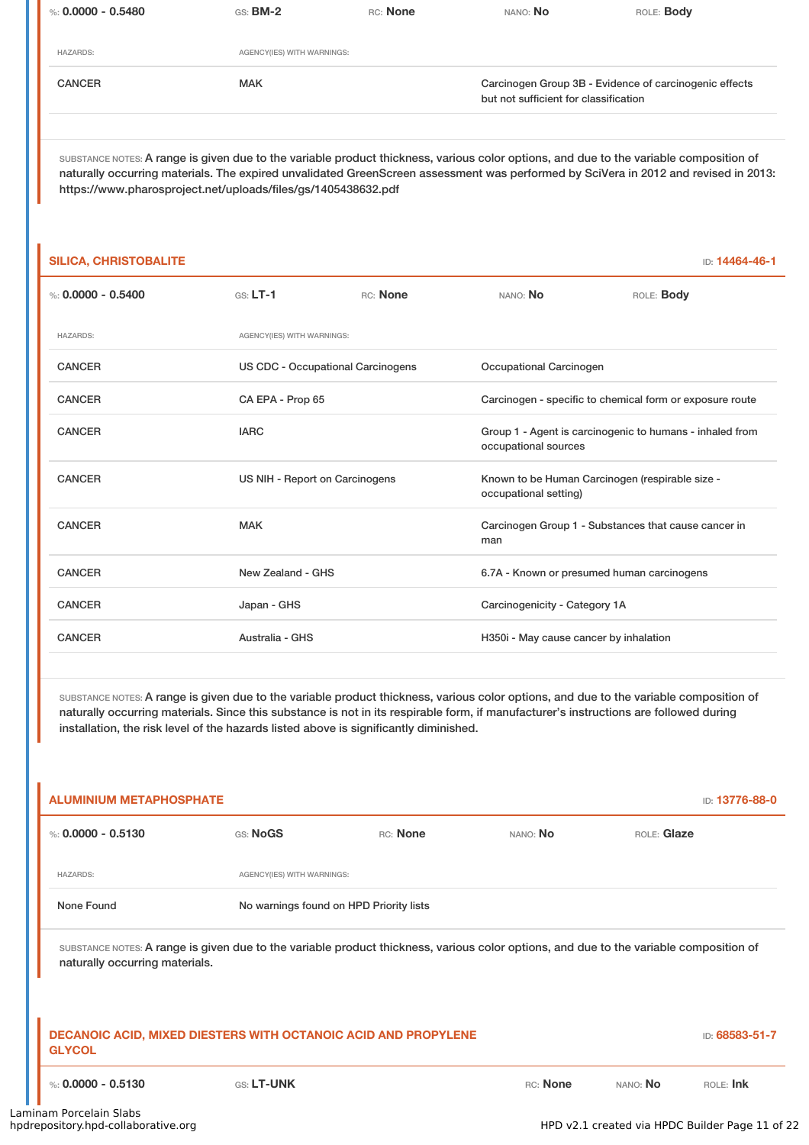| %: 0.0000 - 0.5480 | $GS:$ BM-2                 | RC: None | NANO: No                                                                                        | ROLE: <b>Body</b> |
|--------------------|----------------------------|----------|-------------------------------------------------------------------------------------------------|-------------------|
|                    |                            |          |                                                                                                 |                   |
| <b>HAZARDS:</b>    | AGENCY(IES) WITH WARNINGS: |          |                                                                                                 |                   |
| <b>CANCER</b>      | <b>MAK</b>                 |          | Carcinogen Group 3B - Evidence of carcinogenic effects<br>but not sufficient for classification |                   |

SUBSTANCE NOTES: A range is given due to the variable product thickness, various color options, and due to the variable composition of naturally occurring materials. The expired unvalidated GreenScreen assessment was performed by SciVera in 2012 and revised in 2013: https://www.pharosproject.net/uploads/files/gs/1405438632.pdf

| <b>SILICA, CHRISTOBALITE</b> |                                   |          |                                                                          | ID: 14464-46-1                                           |
|------------------------------|-----------------------------------|----------|--------------------------------------------------------------------------|----------------------------------------------------------|
| %: $0.0000 - 0.5400$         | $GS: LT-1$                        | RC: None | NANO: No                                                                 | ROLE: <b>Body</b>                                        |
| <b>HAZARDS:</b>              | AGENCY(IES) WITH WARNINGS:        |          |                                                                          |                                                          |
| <b>CANCER</b>                | US CDC - Occupational Carcinogens |          | Occupational Carcinogen                                                  |                                                          |
| <b>CANCER</b>                | CA EPA - Prop 65                  |          |                                                                          | Carcinogen - specific to chemical form or exposure route |
| <b>CANCER</b>                | <b>IARC</b>                       |          | occupational sources                                                     | Group 1 - Agent is carcinogenic to humans - inhaled from |
| <b>CANCER</b>                | US NIH - Report on Carcinogens    |          | Known to be Human Carcinogen (respirable size -<br>occupational setting) |                                                          |
| <b>CANCER</b>                | <b>MAK</b>                        |          | man                                                                      | Carcinogen Group 1 - Substances that cause cancer in     |
| <b>CANCER</b>                | New Zealand - GHS                 |          | 6.7A - Known or presumed human carcinogens                               |                                                          |
| <b>CANCER</b>                | Japan - GHS                       |          | Carcinogenicity - Category 1A                                            |                                                          |
| <b>CANCER</b>                | Australia - GHS                   |          | H350i - May cause cancer by inhalation                                   |                                                          |

SUBSTANCE NOTES: A range is given due to the variable product thickness, various color options, and due to the variable composition of naturally occurring materials. Since this substance is not in its respirable form, if manufacturer's instructions are followed during installation, the risk level of the hazards listed above is significantly diminished.

| <b>ALUMINIUM METAPHOSPHATE</b><br>ID: 13776-88-0                                                                                                                         |                                         |          |          |             |                |
|--------------------------------------------------------------------------------------------------------------------------------------------------------------------------|-----------------------------------------|----------|----------|-------------|----------------|
| %: $0.0000 - 0.5130$                                                                                                                                                     | GS: NoGS                                | RC: None | NANO: No | ROLE: Glaze |                |
| <b>HAZARDS:</b>                                                                                                                                                          | AGENCY(IES) WITH WARNINGS:              |          |          |             |                |
| None Found                                                                                                                                                               | No warnings found on HPD Priority lists |          |          |             |                |
| SUBSTANCE NOTES: A range is given due to the variable product thickness, various color options, and due to the variable composition of<br>naturally occurring materials. |                                         |          |          |             |                |
| <b>DECANOIC ACID, MIXED DIESTERS WITH OCTANOIC ACID AND PROPYLENE</b><br><b>GLYCOL</b>                                                                                   |                                         |          |          |             | ID: 68583-51-7 |
| %: $0.0000 - 0.5130$                                                                                                                                                     | GS: LT-UNK                              |          | RC: None | NANO: No    | ROLE: Ink      |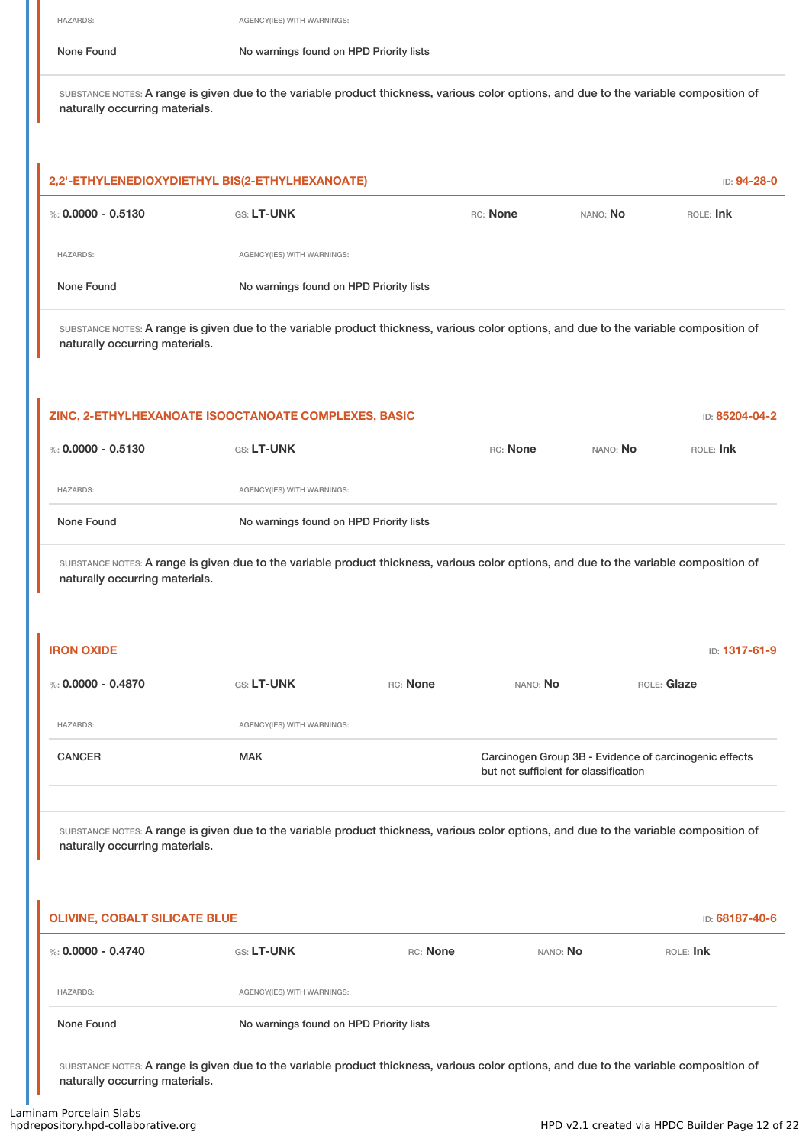HAZARDS: AGENCY(IES) WITH WARNINGS:

None Found Nowarnings found on HPD Priority lists

SUBSTANCE NOTES: A range is given due to the variable product thickness, various color options, and due to the variable composition of naturally occurring materials.

| 2,2'-ETHYLENEDIOXYDIETHYL BIS(2-ETHYLHEXANOATE) |                                         |          |          | ID: 94-28-0 |
|-------------------------------------------------|-----------------------------------------|----------|----------|-------------|
| %: 0,0000 - 0,5130                              | <b>GS: LT-UNK</b>                       | RC: None | NANO: No | ROLE: Ink   |
| <b>HAZARDS:</b>                                 | AGENCY(IES) WITH WARNINGS:              |          |          |             |
| None Found                                      | No warnings found on HPD Priority lists |          |          |             |

SUBSTANCE NOTES: A range is given due to the variable product thickness, various color options, and due to the variable composition of naturally occurring materials.

| ZINC, 2-ETHYLHEXANOATE ISOOCTANOATE COMPLEXES, BASIC |                                         |          |          | ID: 85204-04-2 |
|------------------------------------------------------|-----------------------------------------|----------|----------|----------------|
| %: 0.0000 - 0.5130                                   | <b>GS: LT-UNK</b>                       | RC: None | NANO: No | ROLE: Ink      |
| <b>HAZARDS:</b>                                      | AGENCY(IES) WITH WARNINGS:              |          |          |                |
| None Found                                           | No warnings found on HPD Priority lists |          |          |                |

SUBSTANCE NOTES: A range is given due to the variable product thickness, various color options, and due to the variable composition of naturally occurring materials.

| <b>IRON OXIDE</b>  |                            |          |                                       | ID: 1317-61-9                                          |
|--------------------|----------------------------|----------|---------------------------------------|--------------------------------------------------------|
| %: 0.0000 - 0.4870 | <b>GS: LT-UNK</b>          | RC: None | NANO: No                              | ROLE: Glaze                                            |
| <b>HAZARDS:</b>    | AGENCY(IES) WITH WARNINGS: |          |                                       |                                                        |
| <b>CANCER</b>      | <b>MAK</b>                 |          | but not sufficient for classification | Carcinogen Group 3B - Evidence of carcinogenic effects |
|                    |                            |          |                                       |                                                        |

SUBSTANCE NOTES: A range is given due to the variable product thickness, various color options, and due to the variable composition of naturally occurring materials.

| <b>OLIVINE, COBALT SILICATE BLUE</b> |                            |                                         |          | ID: 68187-40-6 |
|--------------------------------------|----------------------------|-----------------------------------------|----------|----------------|
| %: $0.0000 - 0.4740$                 | <b>GS: LT-UNK</b>          | RC: None                                | NANO: No | ROLE: Ink      |
| <b>HAZARDS:</b>                      | AGENCY(IES) WITH WARNINGS: |                                         |          |                |
| None Found                           |                            | No warnings found on HPD Priority lists |          |                |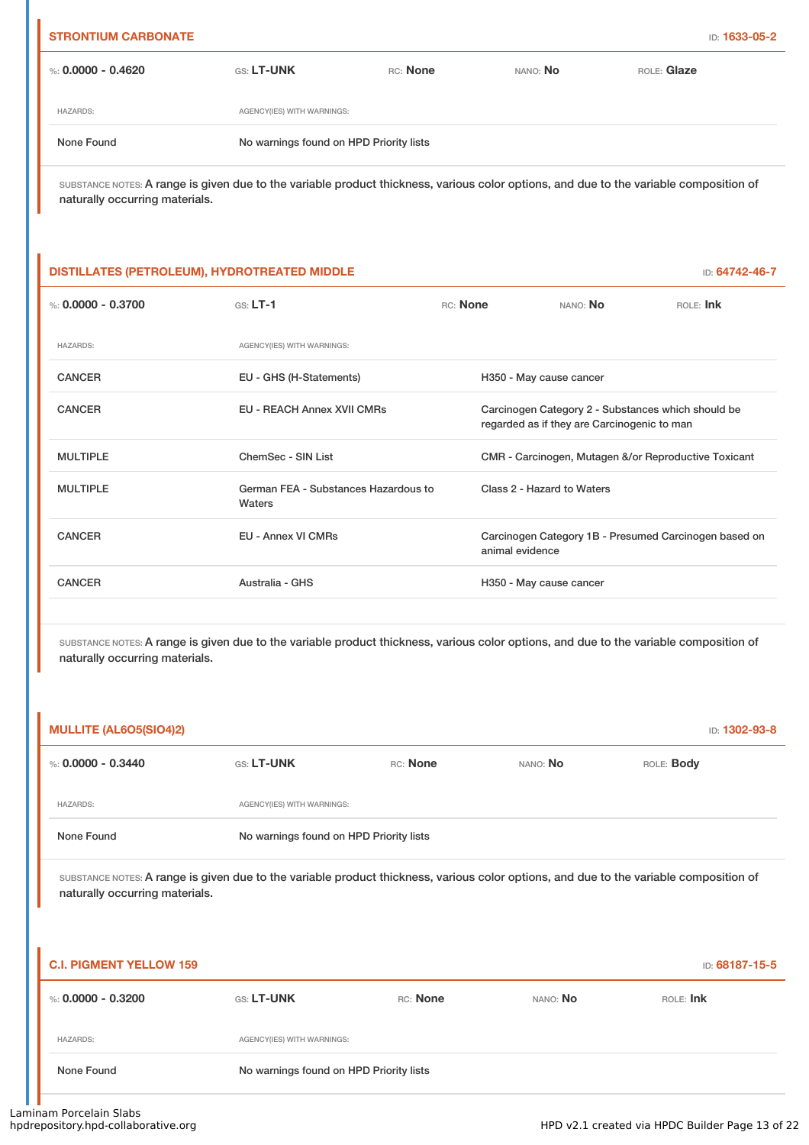| <b>STRONTIUM CARBONATE</b> |                                         |          |          | ID: 1633-05-2 |
|----------------------------|-----------------------------------------|----------|----------|---------------|
| %: $0.0000 - 0.4620$       | <b>GS: LT-UNK</b>                       | RC: None | NANO: No | ROLE: Glaze   |
| <b>HAZARDS:</b>            | AGENCY(IES) WITH WARNINGS:              |          |          |               |
| None Found                 | No warnings found on HPD Priority lists |          |          |               |
|                            |                                         |          |          |               |

# **DISTILLATES (PETROLEUM), HYDROTREATED MIDDLE** ID: **64742-46-7** %: **0.0000 - 0.3700** GS: **LT-1** RC: **None** NANO: **No** ROLE: **Ink** HAZARDS: AGENCY(IES) WITH WARNINGS: CANCER EU - GHS (H-Statements) H350 - May cause cancer CANCER EU - REACH Annex XVII CMRs Carcinogen Category 2 - Substances which should be regarded as if they are Carcinogenic to man MULTIPLE ChemSec - SIN List CMR - Carcinogen, Mutagen &/or Reproductive Toxicant MULTIPLE German FEA - Substances Hazardous to Waters Class 2 - Hazard to Waters CANCER EU - Annex VI CMRs Carcinogen Category 1B - Presumed Carcinogen based on animal evidence CANCER **Australia - GHS** Australia - GHS H350 - May cause cancer

SUBSTANCE NOTES: A range is given due to the variable product thickness, various color options, and due to the variable composition of naturally occurring materials.

| <b>MULLITE (AL6O5(SIO4)2)</b> |                                         |          |          | ID: 1302-93-8     |
|-------------------------------|-----------------------------------------|----------|----------|-------------------|
| %: 0.0000 - 0.3440            | <b>GS: LT-UNK</b>                       | RC: None | NANO: No | ROLE: <b>Body</b> |
| <b>HAZARDS:</b>               | AGENCY(IES) WITH WARNINGS:              |          |          |                   |
| None Found                    | No warnings found on HPD Priority lists |          |          |                   |

| <b>C.I. PIGMENT YELLOW 159</b> |                            |                                         |          | ID: 68187-15-5 |
|--------------------------------|----------------------------|-----------------------------------------|----------|----------------|
| %: 0.0000 - 0.3200             | <b>GS: LT-UNK</b>          | RC: None                                | NANO: No | ROLE: Ink      |
| <b>HAZARDS:</b>                | AGENCY(IES) WITH WARNINGS: |                                         |          |                |
| None Found                     |                            | No warnings found on HPD Priority lists |          |                |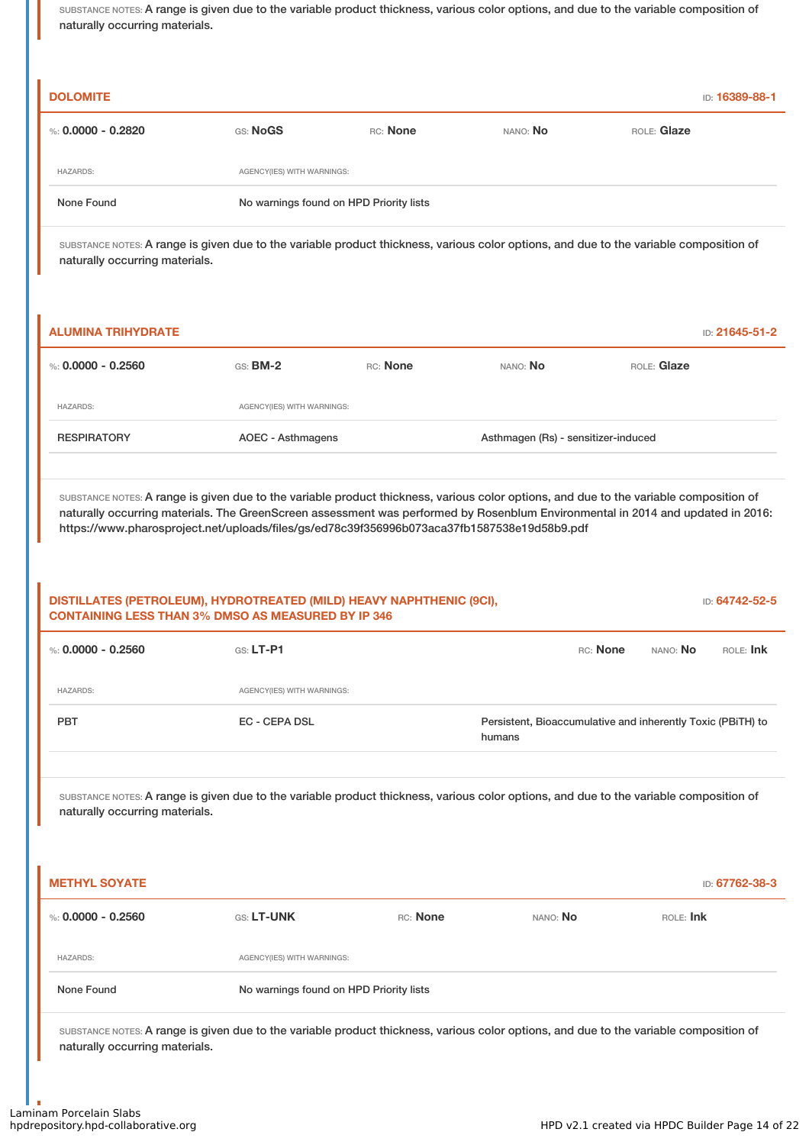| <b>DOLOMITE</b>                                                                                                                                                          |                                         |          |                                     |             | ID: 16389-88-1 |
|--------------------------------------------------------------------------------------------------------------------------------------------------------------------------|-----------------------------------------|----------|-------------------------------------|-------------|----------------|
| %: $0.0000 - 0.2820$                                                                                                                                                     | GS: NoGS                                | RC: None | NANO: No                            | ROLE: Glaze |                |
| <b>HAZARDS:</b>                                                                                                                                                          | AGENCY(IES) WITH WARNINGS:              |          |                                     |             |                |
| None Found                                                                                                                                                               | No warnings found on HPD Priority lists |          |                                     |             |                |
| SUBSTANCE NOTES: A range is given due to the variable product thickness, various color options, and due to the variable composition of<br>naturally occurring materials. |                                         |          |                                     |             |                |
|                                                                                                                                                                          |                                         |          |                                     |             |                |
| <b>ALUMINA TRIHYDRATE</b>                                                                                                                                                |                                         |          |                                     |             | ID: 21645-51-2 |
| %: $0.0000 - 0.2560$                                                                                                                                                     | GS: BM-2                                | RC: None | NANO: No                            | ROLE: Glaze |                |
| <b>HAZARDS:</b>                                                                                                                                                          | AGENCY(IES) WITH WARNINGS:              |          |                                     |             |                |
| <b>RESPIRATORY</b>                                                                                                                                                       | <b>AOEC - Asthmagens</b>                |          | Asthmagen (Rs) - sensitizer-induced |             |                |

| DISTILLATES (PETROLEUM), HYDROTREATED (MILD) HEAVY NAPHTHENIC (9CI),<br>ID: 64742-52-5<br><b>CONTAINING LESS THAN 3% DMSO AS MEASURED BY IP 346</b>                                              |                                         |          |                                                                       |           |                |
|--------------------------------------------------------------------------------------------------------------------------------------------------------------------------------------------------|-----------------------------------------|----------|-----------------------------------------------------------------------|-----------|----------------|
| %: $0.0000 - 0.2560$                                                                                                                                                                             | $GS: LT-P1$                             |          | RC: None                                                              | NANO: No  | ROLE: Ink      |
| <b>HAZARDS:</b>                                                                                                                                                                                  | AGENCY(IES) WITH WARNINGS:              |          |                                                                       |           |                |
| PBT                                                                                                                                                                                              | <b>EC - CEPA DSL</b>                    |          | Persistent, Bioaccumulative and inherently Toxic (PBiTH) to<br>humans |           |                |
| SUBSTANCE NOTES: A range is given due to the variable product thickness, various color options, and due to the variable composition of<br>naturally occurring materials.<br><b>METHYL SOYATE</b> |                                         |          |                                                                       |           | ID: 67762-38-3 |
| %: $0.0000 - 0.2560$                                                                                                                                                                             | <b>GS: LT-UNK</b>                       | RC: None | NANO: No                                                              | ROLE: Ink |                |
| <b>HAZARDS:</b>                                                                                                                                                                                  | AGENCY(IES) WITH WARNINGS:              |          |                                                                       |           |                |
| None Found                                                                                                                                                                                       | No warnings found on HPD Priority lists |          |                                                                       |           |                |
| SUBSTANCE NOTES: A range is given due to the variable product thickness, various color options, and due to the variable composition of<br>naturally occurring materials.                         |                                         |          |                                                                       |           |                |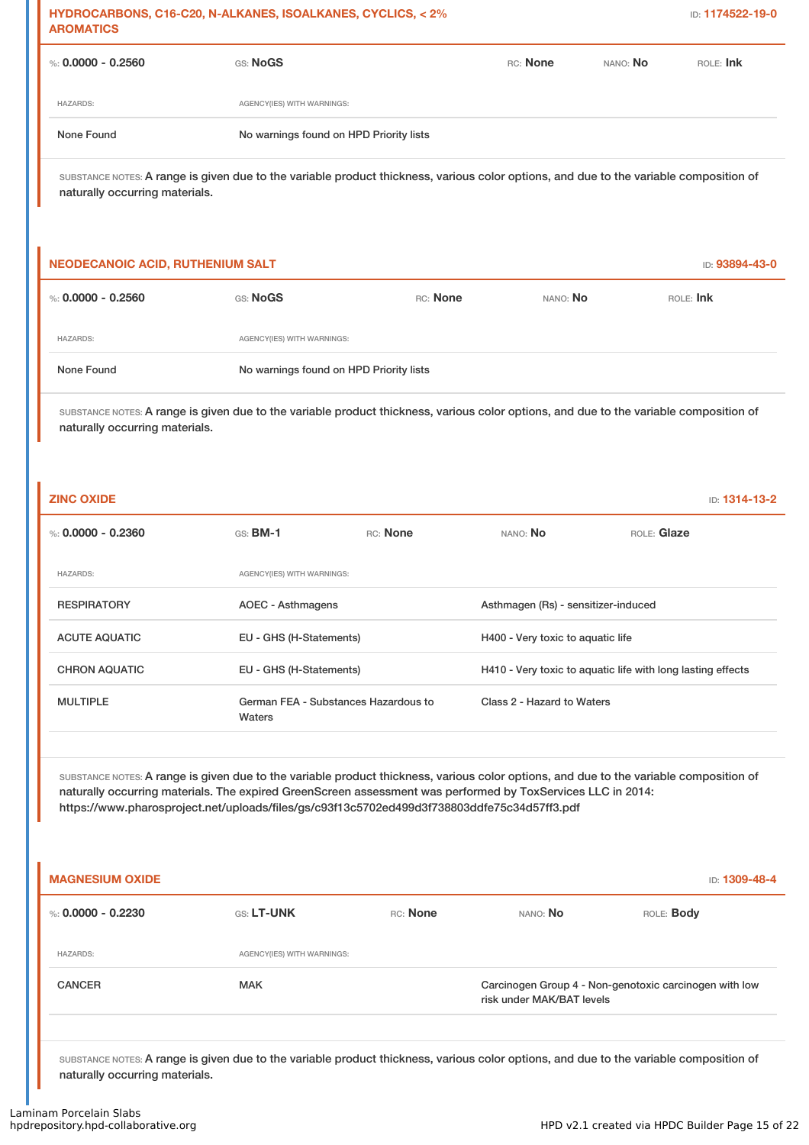| HYDROCARBONS, C16-C20, N-ALKANES, ISOALKANES, CYCLICS, < 2%<br><b>AROMATICS</b>                                                                                                                                                                                                                                                                      |                                                |          |                                                                                     |             | ID: 1174522-19-0 |  |
|------------------------------------------------------------------------------------------------------------------------------------------------------------------------------------------------------------------------------------------------------------------------------------------------------------------------------------------------------|------------------------------------------------|----------|-------------------------------------------------------------------------------------|-------------|------------------|--|
| %: $0.0000 - 0.2560$                                                                                                                                                                                                                                                                                                                                 | GS: NoGS                                       |          | RC: None                                                                            | NANO: No    | ROLE: Ink        |  |
| <b>HAZARDS:</b>                                                                                                                                                                                                                                                                                                                                      | AGENCY(IES) WITH WARNINGS:                     |          |                                                                                     |             |                  |  |
| None Found                                                                                                                                                                                                                                                                                                                                           | No warnings found on HPD Priority lists        |          |                                                                                     |             |                  |  |
| SUBSTANCE NOTES: A range is given due to the variable product thickness, various color options, and due to the variable composition of<br>naturally occurring materials.                                                                                                                                                                             |                                                |          |                                                                                     |             |                  |  |
| <b>NEODECANOIC ACID, RUTHENIUM SALT</b>                                                                                                                                                                                                                                                                                                              |                                                |          |                                                                                     |             | ID: 93894-43-0   |  |
| %: $0.0000 - 0.2560$                                                                                                                                                                                                                                                                                                                                 | GS: NoGS                                       | RC: None | NANO: No                                                                            |             | ROLE: Ink        |  |
| <b>HAZARDS:</b>                                                                                                                                                                                                                                                                                                                                      | AGENCY(IES) WITH WARNINGS:                     |          |                                                                                     |             |                  |  |
| None Found                                                                                                                                                                                                                                                                                                                                           | No warnings found on HPD Priority lists        |          |                                                                                     |             |                  |  |
| SUBSTANCE NOTES: A range is given due to the variable product thickness, various color options, and due to the variable composition of<br>naturally occurring materials.                                                                                                                                                                             |                                                |          |                                                                                     |             |                  |  |
| <b>ZINC OXIDE</b>                                                                                                                                                                                                                                                                                                                                    |                                                |          |                                                                                     |             | ID: 1314-13-2    |  |
| %: $0.0000 - 0.2360$                                                                                                                                                                                                                                                                                                                                 | $GS:$ BM-1                                     | RC: None | NANO: No                                                                            | ROLE: Glaze |                  |  |
| <b>HAZARDS:</b>                                                                                                                                                                                                                                                                                                                                      | AGENCY(IES) WITH WARNINGS:                     |          |                                                                                     |             |                  |  |
| <b>RESPIRATORY</b>                                                                                                                                                                                                                                                                                                                                   | AOEC - Asthmagens                              |          | Asthmagen (Rs) - sensitizer-induced                                                 |             |                  |  |
| <b>ACUTE AQUATIC</b>                                                                                                                                                                                                                                                                                                                                 | EU - GHS (H-Statements)                        |          | H400 - Very toxic to aquatic life                                                   |             |                  |  |
| <b>CHRON AQUATIC</b>                                                                                                                                                                                                                                                                                                                                 | EU - GHS (H-Statements)                        |          | H410 - Very toxic to aquatic life with long lasting effects                         |             |                  |  |
| <b>MULTIPLE</b>                                                                                                                                                                                                                                                                                                                                      | German FEA - Substances Hazardous to<br>Waters |          | Class 2 - Hazard to Waters                                                          |             |                  |  |
| SUBSTANCE NOTES: A range is given due to the variable product thickness, various color options, and due to the variable composition of<br>naturally occurring materials. The expired GreenScreen assessment was performed by ToxServices LLC in 2014:<br>https://www.pharosproject.net/uploads/files/gs/c93f13c5702ed499d3f738803ddfe75c34d57ff3.pdf |                                                |          |                                                                                     |             |                  |  |
| <b>MAGNESIUM OXIDE</b>                                                                                                                                                                                                                                                                                                                               |                                                |          |                                                                                     |             | ID: 1309-48-4    |  |
| %: $0.0000 - 0.2230$                                                                                                                                                                                                                                                                                                                                 | GS: LT-UNK                                     | RC: None | NANO: No                                                                            |             | ROLE: Body       |  |
| <b>HAZARDS:</b>                                                                                                                                                                                                                                                                                                                                      | AGENCY(IES) WITH WARNINGS:                     |          |                                                                                     |             |                  |  |
| <b>CANCER</b>                                                                                                                                                                                                                                                                                                                                        | <b>MAK</b>                                     |          | Carcinogen Group 4 - Non-genotoxic carcinogen with low<br>risk under MAK/BAT levels |             |                  |  |
| SUBSTANCE NOTES: A range is given due to the variable product thickness, various color options, and due to the variable composition of<br>naturally occurring materials.                                                                                                                                                                             |                                                |          |                                                                                     |             |                  |  |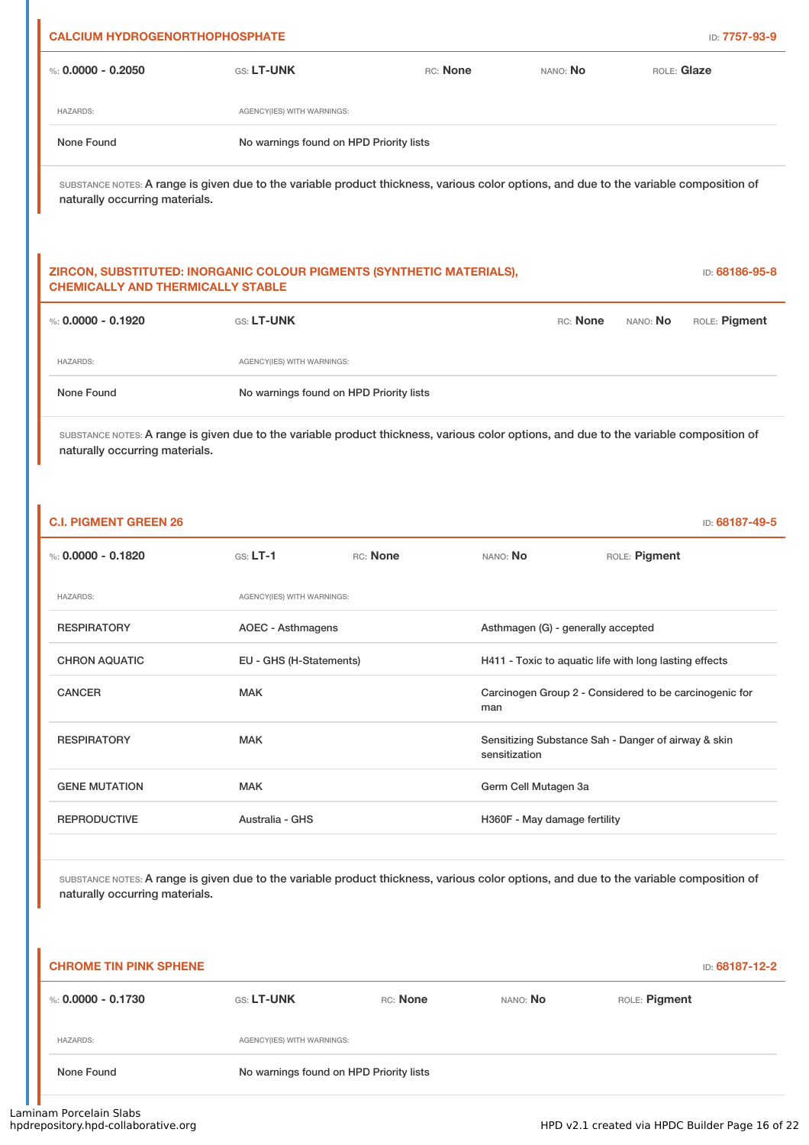| <b>CALCIUM HYDROGENORTHOPHOSPHATE</b>                                                                                                                                    |                                                                       |          |          |             | ID: 7757-93-9  |  |
|--------------------------------------------------------------------------------------------------------------------------------------------------------------------------|-----------------------------------------------------------------------|----------|----------|-------------|----------------|--|
| %: $0.0000 - 0.2050$                                                                                                                                                     | GS: LT-UNK                                                            | RC: None | NANO: No | ROLE: Glaze |                |  |
| <b>HAZARDS:</b>                                                                                                                                                          | AGENCY(IES) WITH WARNINGS:                                            |          |          |             |                |  |
| None Found                                                                                                                                                               | No warnings found on HPD Priority lists                               |          |          |             |                |  |
| SUBSTANCE NOTES: A range is given due to the variable product thickness, various color options, and due to the variable composition of<br>naturally occurring materials. |                                                                       |          |          |             |                |  |
|                                                                                                                                                                          |                                                                       |          |          |             |                |  |
| <b>CHEMICALLY AND THERMICALLY STABLE</b>                                                                                                                                 | ZIRCON, SUBSTITUTED: INORGANIC COLOUR PIGMENTS (SYNTHETIC MATERIALS), |          |          |             | ID: 68186-95-8 |  |
| %: $0.0000 - 0.1920$                                                                                                                                                     | GS: LT-UNK                                                            |          | RC: None | NANO: No    | ROLE: Pigment  |  |
| <b>HAZARDS:</b>                                                                                                                                                          | AGENCY(IES) WITH WARNINGS:                                            |          |          |             |                |  |
| None Found                                                                                                                                                               | No warnings found on HPD Priority lists                               |          |          |             |                |  |

| <b>C.I. PIGMENT GREEN 26</b> |                            |          |                                                               | ID: 68187-49-5                                      |  |
|------------------------------|----------------------------|----------|---------------------------------------------------------------|-----------------------------------------------------|--|
| %: $0.0000 - 0.1820$         | $GS: LT-1$                 | RC: None | NANO: No                                                      | ROLE: Pigment                                       |  |
| <b>HAZARDS:</b>              | AGENCY(IES) WITH WARNINGS: |          |                                                               |                                                     |  |
| <b>RESPIRATORY</b>           | AOEC - Asthmagens          |          |                                                               | Asthmagen (G) - generally accepted                  |  |
| <b>CHRON AQUATIC</b>         | EU - GHS (H-Statements)    |          | H411 - Toxic to aquatic life with long lasting effects        |                                                     |  |
| <b>CANCER</b>                | <b>MAK</b>                 |          | Carcinogen Group 2 - Considered to be carcinogenic for<br>man |                                                     |  |
| <b>RESPIRATORY</b>           | <b>MAK</b>                 |          |                                                               | Sensitizing Substance Sah - Danger of airway & skin |  |
| <b>GENE MUTATION</b>         | <b>MAK</b>                 |          | Germ Cell Mutagen 3a                                          |                                                     |  |
| <b>REPRODUCTIVE</b>          | Australia - GHS            |          | H360F - May damage fertility                                  |                                                     |  |
|                              |                            |          |                                                               |                                                     |  |

| <b>CHROME TIN PINK SPHENE</b><br>ID: 68187-12-2 |                   |                                         |          |               |  |  |
|-------------------------------------------------|-------------------|-----------------------------------------|----------|---------------|--|--|
| %: $0.0000 - 0.1730$                            | <b>GS: LT-UNK</b> | RC: None                                | NANO: No | ROLE: Pigment |  |  |
| <b>HAZARDS:</b>                                 |                   | AGENCY(IES) WITH WARNINGS:              |          |               |  |  |
| None Found                                      |                   | No warnings found on HPD Priority lists |          |               |  |  |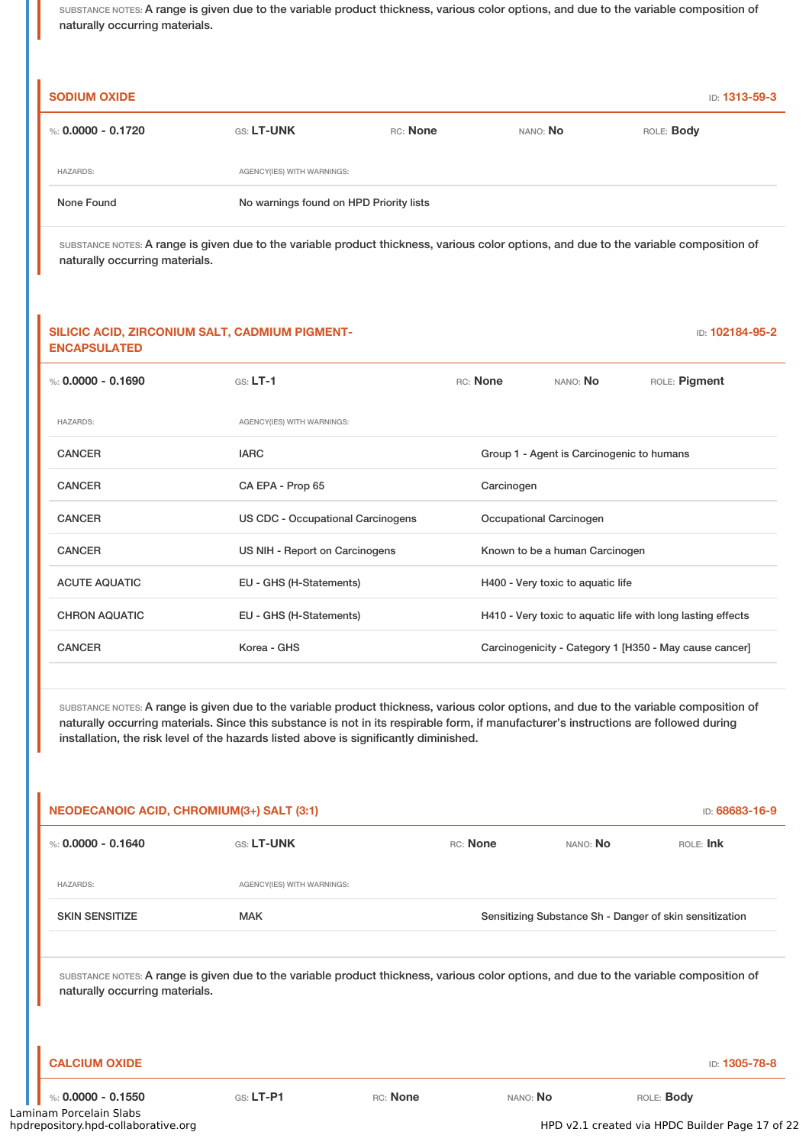| <b>SODIUM OXIDE</b> |                                         |          |          | ID: 1313-59-3     |  |  |
|---------------------|-----------------------------------------|----------|----------|-------------------|--|--|
| %: 0.0000 - 0.1720  | <b>GS: LT-UNK</b>                       | RC: None | NANO: No | ROLE: <b>Body</b> |  |  |
| <b>HAZARDS:</b>     | AGENCY(IES) WITH WARNINGS:              |          |          |                   |  |  |
| None Found          | No warnings found on HPD Priority lists |          |          |                   |  |  |

SUBSTANCE NOTES: A range is given due to the variable product thickness, various color options, and due to the variable composition of naturally occurring materials.

#### **SILICIC ACID, ZIRCONIUM SALT, CADMIUM PIGMENT-ENCAPSULATED**

ID: **102184-95-2**

| %: $0.0000 - 0.1690$ | $GS: LT-1$                        | RC: None                          | NANO: <b>No</b>                                             | ROLE: Pigment |  |
|----------------------|-----------------------------------|-----------------------------------|-------------------------------------------------------------|---------------|--|
| <b>HAZARDS:</b>      | AGENCY(IES) WITH WARNINGS:        |                                   |                                                             |               |  |
| <b>CANCER</b>        | <b>IARC</b>                       |                                   | Group 1 - Agent is Carcinogenic to humans                   |               |  |
| <b>CANCER</b>        | CA EPA - Prop 65                  | Carcinogen                        |                                                             |               |  |
| <b>CANCER</b>        | US CDC - Occupational Carcinogens | Occupational Carcinogen           |                                                             |               |  |
| <b>CANCER</b>        | US NIH - Report on Carcinogens    |                                   | Known to be a human Carcinogen                              |               |  |
| <b>ACUTE AQUATIC</b> | EU - GHS (H-Statements)           | H400 - Very toxic to aquatic life |                                                             |               |  |
| <b>CHRON AQUATIC</b> | EU - GHS (H-Statements)           |                                   | H410 - Very toxic to aquatic life with long lasting effects |               |  |
| <b>CANCER</b>        | Korea - GHS                       |                                   | Carcinogenicity - Category 1 [H350 - May cause cancer]      |               |  |
|                      |                                   |                                   |                                                             |               |  |

SUBSTANCE NOTES: A range is given due to the variable product thickness, various color options, and due to the variable composition of naturally occurring materials. Since this substance is not in its respirable form, if manufacturer's instructions are followed during installation, the risk level of the hazards listed above is significantly diminished.

| NEODECANOIC ACID, CHROMIUM(3+) SALT (3:1)                                                                                                                                |                            |          |          |                                                         | ID: 68683-16-9    |
|--------------------------------------------------------------------------------------------------------------------------------------------------------------------------|----------------------------|----------|----------|---------------------------------------------------------|-------------------|
| %: $0.0000 - 0.1640$                                                                                                                                                     | GS: LT-UNK                 |          | RC: None | NANO: No                                                | ROLE: Ink         |
| <b>HAZARDS:</b>                                                                                                                                                          | AGENCY(IES) WITH WARNINGS: |          |          |                                                         |                   |
| <b>SKIN SENSITIZE</b>                                                                                                                                                    | <b>MAK</b>                 |          |          | Sensitizing Substance Sh - Danger of skin sensitization |                   |
|                                                                                                                                                                          |                            |          |          |                                                         |                   |
| SUBSTANCE NOTES: A range is given due to the variable product thickness, various color options, and due to the variable composition of<br>naturally occurring materials. |                            |          |          |                                                         |                   |
|                                                                                                                                                                          |                            |          |          |                                                         |                   |
| <b>CALCIUM OXIDE</b>                                                                                                                                                     |                            |          |          |                                                         | ID: 1305-78-8     |
| %: $0.0000 - 0.1550$                                                                                                                                                     | $GS: LT-P1$                | RC: None | NANO: No |                                                         | ROLE: <b>Body</b> |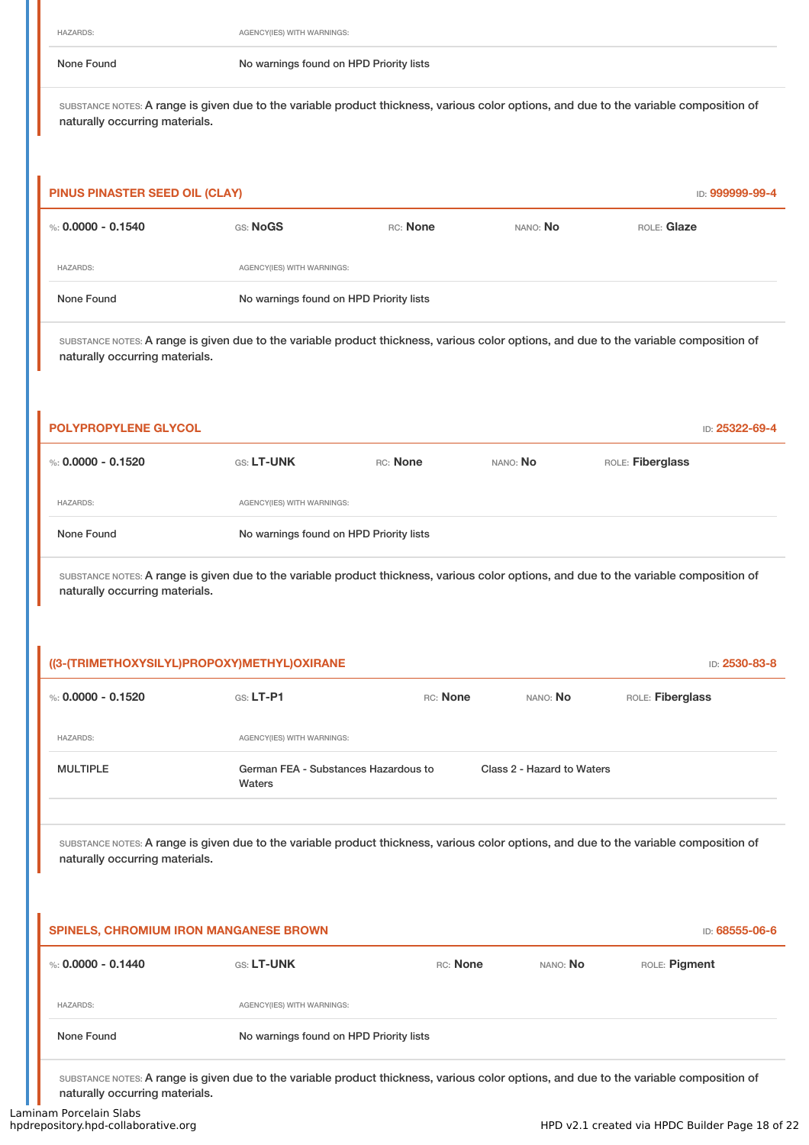None Found No warnings found on HPD Priority lists

SUBSTANCE NOTES: A range is given due to the variable product thickness, various color options, and due to the variable composition of naturally occurring materials.

| PINUS PINASTER SEED OIL (CLAY)<br>ID: 999999-99-4 |          |                                         |                 |             |  |  |
|---------------------------------------------------|----------|-----------------------------------------|-----------------|-------------|--|--|
| %: $0.0000 - 0.1540$                              | GS: NoGS | RC: None                                | nano: <b>No</b> | ROLE: Glaze |  |  |
| <b>HAZARDS:</b>                                   |          | AGENCY(IES) WITH WARNINGS:              |                 |             |  |  |
| None Found                                        |          | No warnings found on HPD Priority lists |                 |             |  |  |

SUBSTANCE NOTES: A range is given due to the variable product thickness, various color options, and due to the variable composition of naturally occurring materials.

| <b>POLYPROPYLENE GLYCOL</b> |                                         |          |                 |                  | ID: 25322-69-4 |  |
|-----------------------------|-----------------------------------------|----------|-----------------|------------------|----------------|--|
| %: 0.0000 - 0.1520          | <b>GS: LT-UNK</b>                       | RC: None | nano: <b>No</b> | ROLE: Fiberglass |                |  |
| <b>HAZARDS:</b>             | AGENCY(IES) WITH WARNINGS:              |          |                 |                  |                |  |
| None Found                  | No warnings found on HPD Priority lists |          |                 |                  |                |  |

SUBSTANCE NOTES: A range is given due to the variable product thickness, various color options, and due to the variable composition of naturally occurring materials.

| ((3-(TRIMETHOXYSILYL)PROPOXY)METHYL)OXIRANE | ID: 2530-83-8                                  |          |                            |                  |
|---------------------------------------------|------------------------------------------------|----------|----------------------------|------------------|
| %: 0.0000 - 0.1520                          | $GS: LT-P1$                                    | RC: None | NANO: No                   | ROLE: Fiberglass |
| <b>HAZARDS:</b>                             | AGENCY(IES) WITH WARNINGS:                     |          |                            |                  |
| <b>MULTIPLE</b>                             | German FEA - Substances Hazardous to<br>Waters |          | Class 2 - Hazard to Waters |                  |

SUBSTANCE NOTES: A range is given due to the variable product thickness, various color options, and due to the variable composition of naturally occurring materials.

| <b>SPINELS, CHROMIUM IRON MANGANESE BROWN</b> |                                         |          |          | ID: 68555-06-6 |
|-----------------------------------------------|-----------------------------------------|----------|----------|----------------|
| %: 0.0000 - 0.1440                            | <b>GS: LT-UNK</b>                       | RC: None | NANO: No | ROLE: Pigment  |
| <b>HAZARDS:</b>                               | AGENCY(IES) WITH WARNINGS:              |          |          |                |
| None Found                                    | No warnings found on HPD Priority lists |          |          |                |
|                                               |                                         |          |          |                |

SUBSTANCE NOTES: A range is given due to the variable product thickness, various color options, and due to the variable composition of naturally occurring materials.

h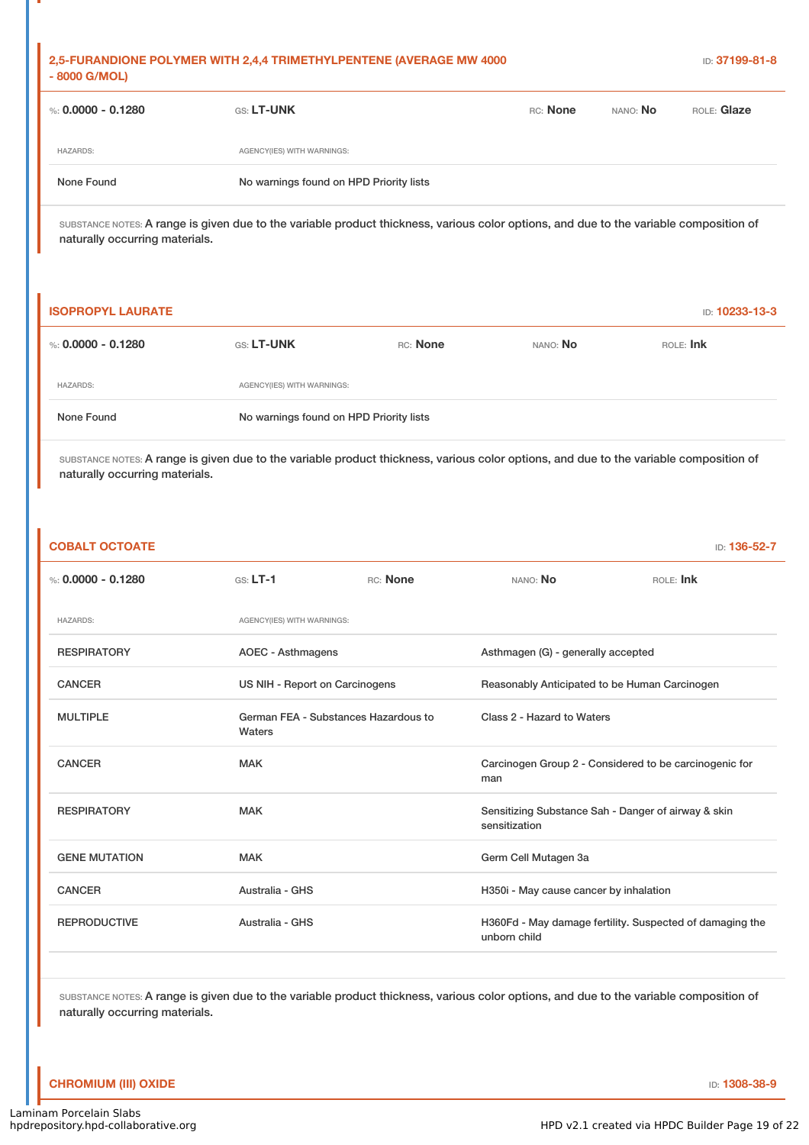| 2,5-FURANDIONE POLYMER WITH 2,4,4 TRIMETHYLPENTENE (AVERAGE MW 4000)<br>- 8000 G/MOL) |                                         |          |                 | ID: 37199-81-8 |
|---------------------------------------------------------------------------------------|-----------------------------------------|----------|-----------------|----------------|
| %: 0.0000 - 0.1280                                                                    | <b>GS: LT-UNK</b>                       | RC: None | NANO: <b>No</b> | ROLE: Glaze    |
| <b>HAZARDS:</b>                                                                       | AGENCY(IES) WITH WARNINGS:              |          |                 |                |
| None Found                                                                            | No warnings found on HPD Priority lists |          |                 |                |
|                                                                                       |                                         |          |                 |                |

| <b>ISOPROPYL LAURATE</b> |                                         |          |          | <b>ID: 10233-13-3</b> |
|--------------------------|-----------------------------------------|----------|----------|-----------------------|
| %: $0.0000 - 0.1280$     | <b>GS: LT-UNK</b>                       | RC: None | NANO: No | ROLE: Ink             |
| <b>HAZARDS:</b>          | AGENCY(IES) WITH WARNINGS:              |          |          |                       |
| None Found               | No warnings found on HPD Priority lists |          |          |                       |

SUBSTANCE NOTES: A range is given due to the variable product thickness, various color options, and due to the variable composition of naturally occurring materials.

| <b>COBALT OCTOATE</b> |                                |                                      |                                               | ID: 136-52-7                                             |
|-----------------------|--------------------------------|--------------------------------------|-----------------------------------------------|----------------------------------------------------------|
| %: $0.0000 - 0.1280$  | $GS: LT-1$                     | RC: None                             | NANO: No                                      | ROLE: Ink                                                |
| <b>HAZARDS:</b>       | AGENCY(IES) WITH WARNINGS:     |                                      |                                               |                                                          |
| <b>RESPIRATORY</b>    | <b>AOEC - Asthmagens</b>       |                                      | Asthmagen (G) - generally accepted            |                                                          |
| <b>CANCER</b>         | US NIH - Report on Carcinogens |                                      | Reasonably Anticipated to be Human Carcinogen |                                                          |
| <b>MULTIPLE</b>       | Waters                         | German FEA - Substances Hazardous to | Class 2 - Hazard to Waters                    |                                                          |
| <b>CANCER</b>         | <b>MAK</b>                     |                                      | man                                           | Carcinogen Group 2 - Considered to be carcinogenic for   |
| <b>RESPIRATORY</b>    | <b>MAK</b>                     |                                      | sensitization                                 | Sensitizing Substance Sah - Danger of airway & skin      |
| <b>GENE MUTATION</b>  | <b>MAK</b>                     |                                      | Germ Cell Mutagen 3a                          |                                                          |
| <b>CANCER</b>         | Australia - GHS                |                                      | H350i - May cause cancer by inhalation        |                                                          |
| <b>REPRODUCTIVE</b>   | Australia - GHS                |                                      | unborn child                                  | H360Fd - May damage fertility. Suspected of damaging the |
|                       |                                |                                      |                                               |                                                          |

SUBSTANCE NOTES: A range is given due to the variable product thickness, various color options, and due to the variable composition of naturally occurring materials.

### **CHROMIUM (III) OXIDE ID: 1308-38-9**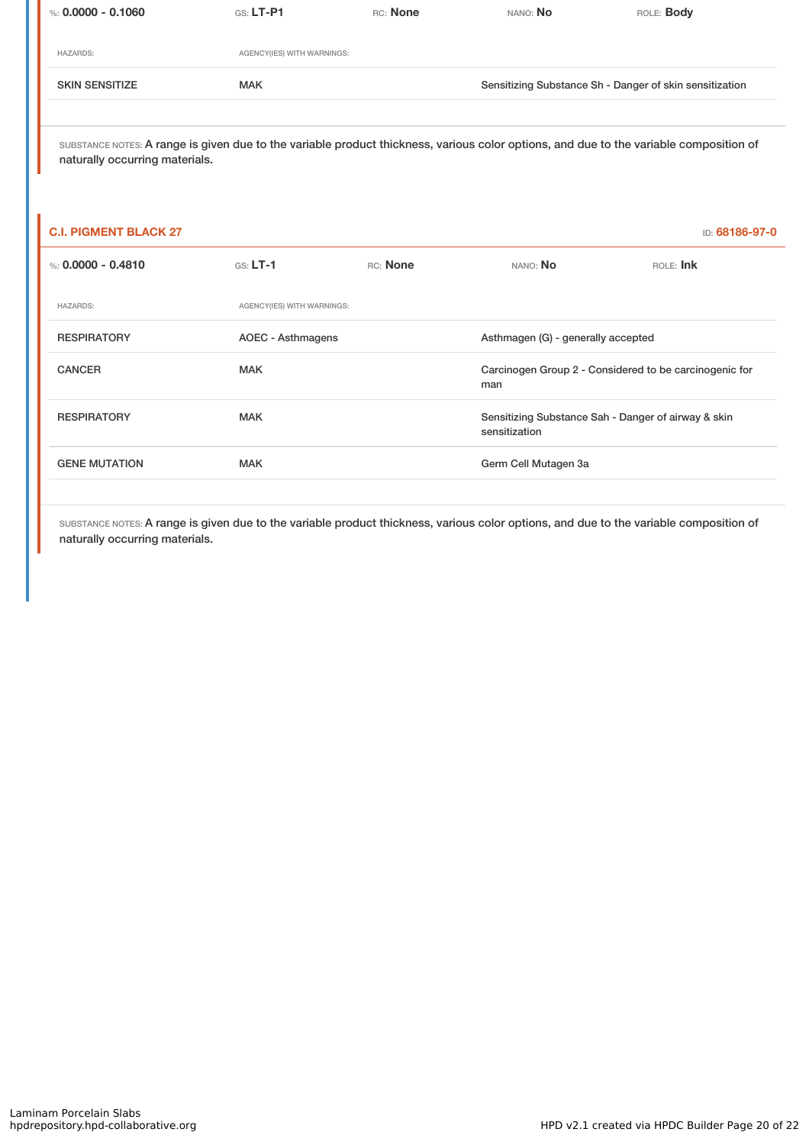| %: $0.0000 - 0.1060$  | $GS: LT-P1$                | RC: None | NANO: No                                                | ROLE: <b>Body</b> |
|-----------------------|----------------------------|----------|---------------------------------------------------------|-------------------|
| <b>HAZARDS:</b>       | AGENCY(IES) WITH WARNINGS: |          |                                                         |                   |
| <b>SKIN SENSITIZE</b> | <b>MAK</b>                 |          | Sensitizing Substance Sh - Danger of skin sensitization |                   |
|                       |                            |          |                                                         |                   |

| <b>C.I. PIGMENT BLACK 27</b> |                            |          |                                                                      | ID: 68186-97-0 |
|------------------------------|----------------------------|----------|----------------------------------------------------------------------|----------------|
| %: $0.0000 - 0.4810$         | $GS: LT-1$                 | RC: None | NANO: No                                                             | ROLE: Ink      |
| <b>HAZARDS:</b>              | AGENCY(IES) WITH WARNINGS: |          |                                                                      |                |
| <b>RESPIRATORY</b>           | AOEC - Asthmagens          |          | Asthmagen (G) - generally accepted                                   |                |
| <b>CANCER</b>                | <b>MAK</b>                 |          | Carcinogen Group 2 - Considered to be carcinogenic for<br>man        |                |
| <b>RESPIRATORY</b>           | <b>MAK</b>                 |          | Sensitizing Substance Sah - Danger of airway & skin<br>sensitization |                |
| <b>GENE MUTATION</b>         | <b>MAK</b>                 |          | Germ Cell Mutagen 3a                                                 |                |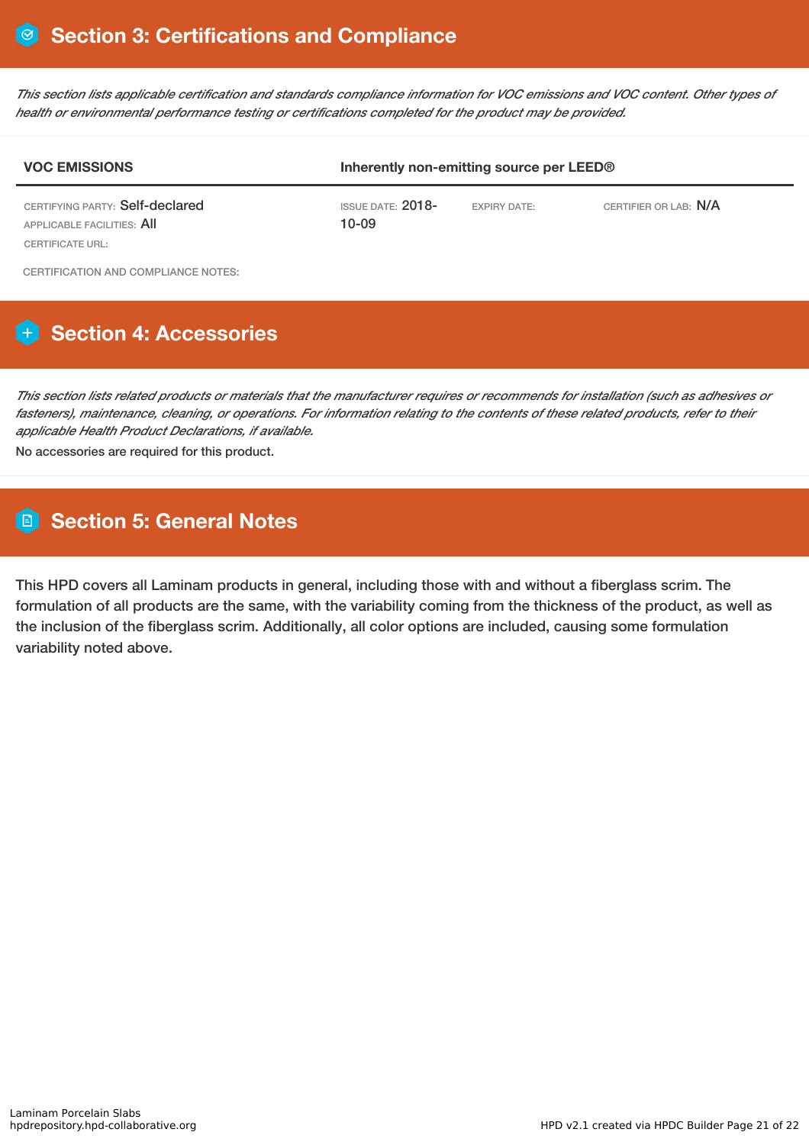This section lists applicable certification and standards compliance information for VOC emissions and VOC content. Other types of *health or environmental performance testing or certifications completed for the product may be provided.*

| <b>VOC EMISSIONS</b>                                                              | Inherently non-emitting source per LEED® |                     |                       |  |
|-----------------------------------------------------------------------------------|------------------------------------------|---------------------|-----------------------|--|
| CERTIFYING PARTY: Self-declared<br>APPLICABLE FACILITIES: AII<br>CERTIFICATE URL: | ISSUE DATE: $2018-$<br>10-09             | <b>EXPIRY DATE:</b> | CERTIFIER OR LAB: N/A |  |
| CERTIFICATION AND COMPLIANCE NOTES:                                               |                                          |                     |                       |  |

# **Section 4: Accessories**

This section lists related products or materials that the manufacturer requires or recommends for installation (such as adhesives or fasteners), maintenance, cleaning, or operations. For information relating to the contents of these related products, refer to their *applicable Health Product Declarations, if available.*

No accessories are required for this product.

# **Section 5: General Notes**

This HPD covers all Laminam products in general, including those with and without a fiberglass scrim. The formulation of all products are the same, with the variability coming from the thickness of the product, as well as the inclusion of the fiberglass scrim. Additionally, all color options are included, causing some formulation variability noted above.